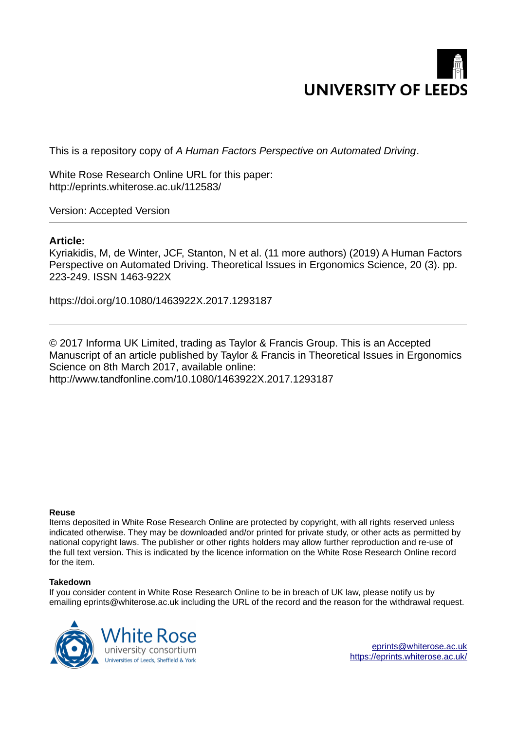

This is a repository copy of *A Human Factors Perspective on Automated Driving*.

White Rose Research Online URL for this paper: http://eprints.whiterose.ac.uk/112583/

Version: Accepted Version

# **Article:**

Kyriakidis, M, de Winter, JCF, Stanton, N et al. (11 more authors) (2019) A Human Factors Perspective on Automated Driving. Theoretical Issues in Ergonomics Science, 20 (3). pp. 223-249. ISSN 1463-922X

https://doi.org/10.1080/1463922X.2017.1293187

© 2017 Informa UK Limited, trading as Taylor & Francis Group. This is an Accepted Manuscript of an article published by Taylor & Francis in Theoretical Issues in Ergonomics Science on 8th March 2017, available online: http://www.tandfonline.com/10.1080/1463922X.2017.1293187

### **Reuse**

Items deposited in White Rose Research Online are protected by copyright, with all rights reserved unless indicated otherwise. They may be downloaded and/or printed for private study, or other acts as permitted by national copyright laws. The publisher or other rights holders may allow further reproduction and re-use of the full text version. This is indicated by the licence information on the White Rose Research Online record for the item.

## **Takedown**

If you consider content in White Rose Research Online to be in breach of UK law, please notify us by emailing eprints@whiterose.ac.uk including the URL of the record and the reason for the withdrawal request.



[eprints@whiterose.ac.uk](mailto:eprints@whiterose.ac.uk) <https://eprints.whiterose.ac.uk/>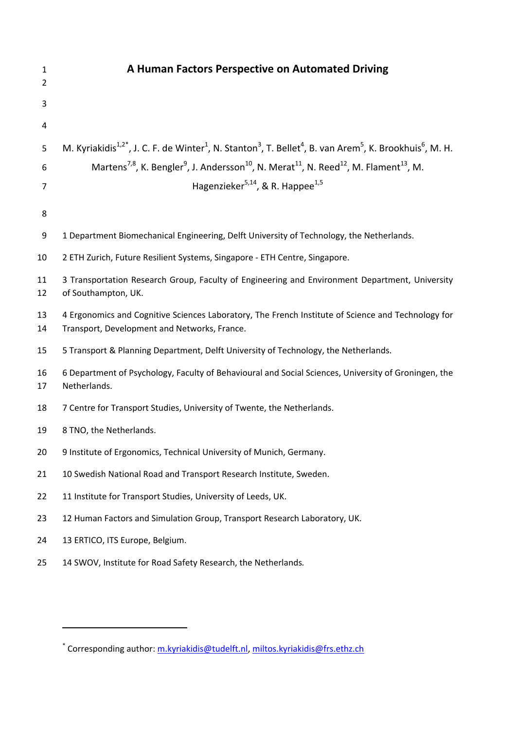| 1<br>2   | A Human Factors Perspective on Automated Driving                                                                                                                                  |
|----------|-----------------------------------------------------------------------------------------------------------------------------------------------------------------------------------|
| 3        |                                                                                                                                                                                   |
| 4        |                                                                                                                                                                                   |
| 5        | M. Kyriakidis <sup>1,2*</sup> , J. C. F. de Winter <sup>1</sup> , N. Stanton <sup>3</sup> , T. Bellet <sup>4</sup> , B. van Arem <sup>5</sup> , K. Brookhuis <sup>6</sup> , M. H. |
| 6        | Martens <sup>7,8</sup> , K. Bengler <sup>9</sup> , J. Andersson <sup>10</sup> , N. Merat <sup>11</sup> , N. Reed <sup>12</sup> , M. Flament <sup>13</sup> , M.                    |
| 7        | Hagenzieker <sup>5,14</sup> , & R. Happee <sup>1,5</sup>                                                                                                                          |
| 8        |                                                                                                                                                                                   |
| 9        | 1 Department Biomechanical Engineering, Delft University of Technology, the Netherlands.                                                                                          |
| 10       | 2 ETH Zurich, Future Resilient Systems, Singapore - ETH Centre, Singapore.                                                                                                        |
| 11<br>12 | 3 Transportation Research Group, Faculty of Engineering and Environment Department, University<br>of Southampton, UK.                                                             |
| 13<br>14 | 4 Ergonomics and Cognitive Sciences Laboratory, The French Institute of Science and Technology for<br>Transport, Development and Networks, France.                                |
| 15       | 5 Transport & Planning Department, Delft University of Technology, the Netherlands.                                                                                               |
| 16<br>17 | 6 Department of Psychology, Faculty of Behavioural and Social Sciences, University of Groningen, the<br>Netherlands.                                                              |
| 18       | 7 Centre for Transport Studies, University of Twente, the Netherlands.                                                                                                            |
| 19       | 8 TNO, the Netherlands.                                                                                                                                                           |
| 20       | 9 Institute of Ergonomics, Technical University of Munich, Germany.                                                                                                               |
| 21       | 10 Swedish National Road and Transport Research Institute, Sweden.                                                                                                                |
| 22       | 11 Institute for Transport Studies, University of Leeds, UK.                                                                                                                      |
| 23       | 12 Human Factors and Simulation Group, Transport Research Laboratory, UK.                                                                                                         |
| 24       | 13 ERTICO, ITS Europe, Belgium.                                                                                                                                                   |
| 25       | 14 SWOV, Institute for Road Safety Research, the Netherlands.                                                                                                                     |

<sup>\*</sup> Corresponding author: m.kyriakidis@tudelft.nl, miltos.kyriakidis@frs.ethz.ch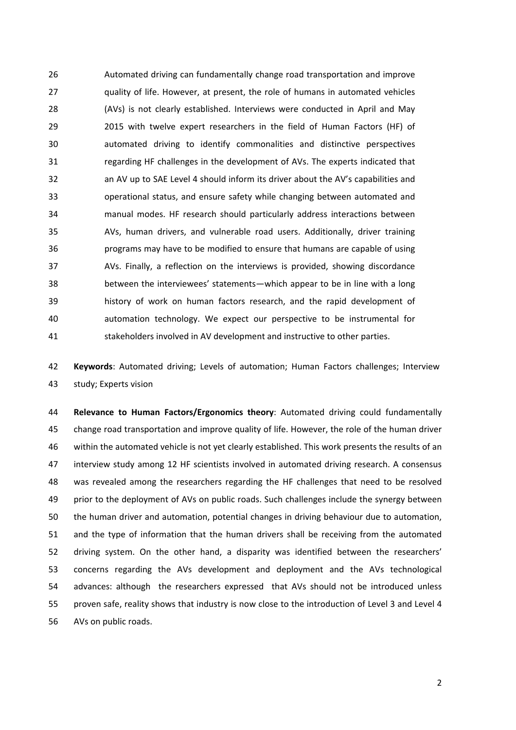Automated driving can fundamentally change road transportation and improve quality of life. However, at present, the role of humans in automated vehicles (AVs) is not clearly established. Interviews were conducted in April and May 2015 with twelve expert researchers in the field of Human Factors (HF) of automated driving to identify commonalities and distinctive perspectives regarding HF challenges in the development of AVs. The experts indicated that an AV up to SAE Level 4 should inform its driver about the AVís capabilities and operational status, and ensure safety while changing between automated and manual modes. HF research should particularly address interactions between AVs, human drivers, and vulnerable road users. Additionally, driver training programs may have to be modified to ensure that humans are capable of using AVs. Finally, a reflection on the interviews is provided, showing discordance 38 between the interviewees' statements—which appear to be in line with a long history of work on human factors research, and the rapid development of automation technology. We expect our perspective to be instrumental for stakeholders involved in AV development and instructive to other parties.

 **Keywords**: Automated driving; Levels of automation; Human Factors challenges; Interview study; Experts vision

 **Relevance to Human Factors/Ergonomics theory**: Automated driving could fundamentally change road transportation and improve quality of life. However, the role of the human driver within the automated vehicle is not yet clearly established. This work presents the results of an interview study among 12 HF scientists involved in automated driving research. A consensus was revealed among the researchers regarding the HF challenges that need to be resolved prior to the deployment of AVs on public roads. Such challenges include the synergy between the human driver and automation, potential changes in driving behaviour due to automation, and the type of information that the human drivers shall be receiving from the automated driving system. On the other hand, a disparity was identified between the researchersí concerns regarding the AVs development and deployment and the AVs technological 54 advances: although the researchers expressed that AVs should not be introduced unless proven safe, reality shows that industry is now close to the introduction of Level 3 and Level 4 AVs on public roads.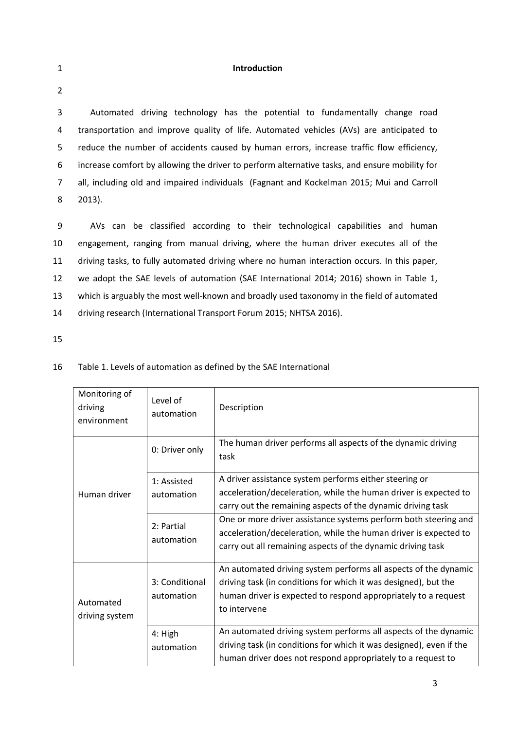### 1 **Introduction**

2

 Automated driving technology has the potential to fundamentally change road transportation and improve quality of life. Automated vehicles (AVs) are anticipated to reduce the number of accidents caused by human errors, increase traffic flow efficiency, increase comfort by allowing the driver to perform alternative tasks, and ensure mobility for all, including old and impaired individuals (Fagnant and Kockelman 2015; Mui and Carroll 8 2013).

 AVs can be classified according to their technological capabilities and human engagement, ranging from manual driving, where the human driver executes all of the driving tasks, to fully automated driving where no human interaction occurs. In this paper, we adopt the SAE levels of automation (SAE International 2014; 2016) shown in Table 1, 13 which is arguably the most well-known and broadly used taxonomy in the field of automated driving research (International Transport Forum 2015; NHTSA 2016).

15

|  | Monitoring of<br>driving<br>environment | Level of<br>automation   | Description                                                          |  |  |  |  |
|--|-----------------------------------------|--------------------------|----------------------------------------------------------------------|--|--|--|--|
|  | Human driver                            | 0: Driver only           | The human driver performs all aspects of the dynamic driving<br>task |  |  |  |  |
|  |                                         | 1: Assisted              | A driver assistance system performs either steering or               |  |  |  |  |
|  |                                         | automation               | acceleration/deceleration, while the human driver is expected to     |  |  |  |  |
|  |                                         |                          | carry out the remaining aspects of the dynamic driving task          |  |  |  |  |
|  |                                         | 2: Partial<br>automation | One or more driver assistance systems perform both steering and      |  |  |  |  |
|  |                                         |                          | acceleration/deceleration, while the human driver is expected to     |  |  |  |  |
|  |                                         |                          | carry out all remaining aspects of the dynamic driving task          |  |  |  |  |
|  | Automated<br>driving system             |                          | An automated driving system performs all aspects of the dynamic      |  |  |  |  |
|  |                                         | 3: Conditional           | driving task (in conditions for which it was designed), but the      |  |  |  |  |
|  |                                         | automation               | human driver is expected to respond appropriately to a request       |  |  |  |  |
|  |                                         |                          | to intervene                                                         |  |  |  |  |
|  |                                         | 4: High                  | An automated driving system performs all aspects of the dynamic      |  |  |  |  |
|  |                                         | automation               | driving task (in conditions for which it was designed), even if the  |  |  |  |  |
|  |                                         |                          | human driver does not respond appropriately to a request to          |  |  |  |  |

16 Table 1. Levels of automation as defined by the SAE International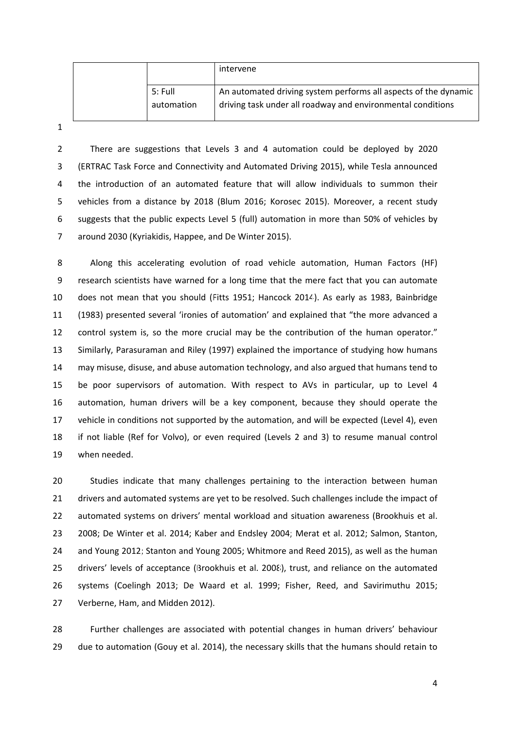|            | intervene                                                       |
|------------|-----------------------------------------------------------------|
| 5: Full    | An automated driving system performs all aspects of the dynamic |
| automation | driving task under all roadway and environmental conditions     |

 There are suggestions that Levels 3 and 4 automation could be deployed by 2020 (ERTRAC Task Force and Connectivity and Automated Driving 2015), while Tesla announced the introduction of an automated feature that will allow individuals to summon their vehicles from a distance by 2018 (Blum 2016; Korosec 2015). Moreover, a recent study suggests that the public expects Level 5 (full) automation in more than 50% of vehicles by around 2030 (Kyriakidis, Happee, and De Winter 2015).

 Along this accelerating evolution of road vehicle automation, Human Factors (HF) research scientists have warned for a long time that the mere fact that you can automate does not mean that you should (Fitts [1951;](https://www.researchgate.net/publication/232594484_Human_Engineering_for_an_Effective_Air_Navigation_and_Traffic_Control_System?el=1_x_8&enrichId=rgreq-54f8c9adb3c7f2795537bf218eb70de0-XXX&enrichSource=Y292ZXJQYWdlOzMxMzM2NzY3OTtBUzo0NTg3MDMwNzQ3OTU1MjFAMTQ4NjM3NDc0MzY4MQ==) [Hancock](https://www.researchgate.net/publication/256539545_Automation_How_much_is_too_much?el=1_x_8&enrichId=rgreq-54f8c9adb3c7f2795537bf218eb70de0-XXX&enrichSource=Y292ZXJQYWdlOzMxMzM2NzY3OTtBUzo0NTg3MDMwNzQ3OTU1MjFAMTQ4NjM3NDc0MzY4MQ==) 2014). As early as 1983, Bainbridge 11 (1983) presented several 'ironies of automation' and explained that "the more advanced a 12 control system is, so the more crucial may be the contribution of the human operator." Similarly, Parasuraman and Riley (1997) explained the importance of studying how humans may misuse, disuse, and abuse automation technology, and also argued that humans tend to be poor supervisors of automation. With respect to AVs in particular, up to Level 4 automation, human drivers will be a key component, because they should operate the vehicle in conditions not supported by the automation, and will be expected (Level 4), even if not liable (Ref for Volvo), or even required (Levels 2 and 3) to resume manual control when needed.

 Studies indicate that many challenges pertaining to the interaction between human 21 drivers and automated systems are yet to be resolved. Such challenges include the impact of automated systems on driversí mental workload and situation awareness (Brookhuis et al. 2008; De Winter et al. 2014; Kaber and [Endsley](https://www.researchgate.net/publication/247511902_The_effects_of_level_of_automation_and_adaptive_automation_on_human_performance_situation_awareness_and_workload_in_a_dynamic_control_task?el=1_x_8&enrichId=rgreq-54f8c9adb3c7f2795537bf218eb70de0-XXX&enrichSource=Y292ZXJQYWdlOzMxMzM2NzY3OTtBUzo0NTg3MDMwNzQ3OTU1MjFAMTQ4NjM3NDc0MzY4MQ==) 2004; Merat et al. 2012; Salmon, Stanton, and Young 2012; [Stanton](https://www.researchgate.net/publication/7512847_Driver_behaviour_with_adaptive_cruise_control?el=1_x_8&enrichId=rgreq-54f8c9adb3c7f2795537bf218eb70de0-XXX&enrichSource=Y292ZXJQYWdlOzMxMzM2NzY3OTtBUzo0NTg3MDMwNzQ3OTU1MjFAMTQ4NjM3NDc0MzY4MQ==) and Young 2005; Whitmore and Reed 2015), as well as the human driversí levels of acceptance ([Brookhuis](https://www.researchgate.net/publication/23289630_Driving_with_a_Congestion_Assistant_mental_workload_and_acceptance?el=1_x_8&enrichId=rgreq-54f8c9adb3c7f2795537bf218eb70de0-XXX&enrichSource=Y292ZXJQYWdlOzMxMzM2NzY3OTtBUzo0NTg3MDMwNzQ3OTU1MjFAMTQ4NjM3NDc0MzY4MQ==) et al. 2008), trust, and reliance on the automated systems (Coelingh 2013; De Waard et al. 1999; Fisher, Reed, and Savirimuthu 2015; Verberne, Ham, and Midden 2012).

 Further challenges are associated with potential changes in human driversí behaviour 29 due to automation [\(Gouy](https://www.researchgate.net/publication/261954475_Driving_next_to_automated_vehicle_platoons_How_do_short_time_headways_influence_non-platoon_drivers) et al. 2014), the necessary skills that the humans should retain to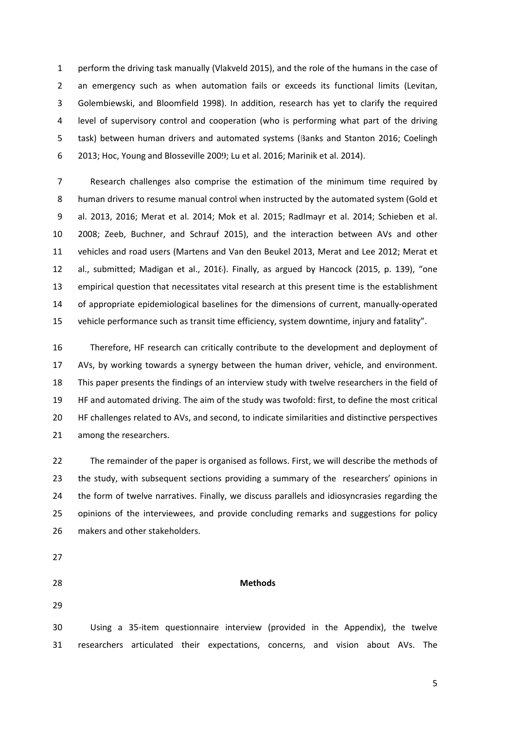perform the driving task manually (Vlakveld 2015), and the role of the humans in the case of 2 an emergency such as when automation fails or exceeds its functional limits (Levitan, Golembiewski, and Bloomfield 1998). In addition, research has yet to clarify the required level of supervisory control and cooperation (who is performing what part of the driving task) between human drivers and automated systems (Banks and [Stanton](https://www.researchgate.net/publication/279753685_Keep_the_driver_in_control_Automating_automobiles_of_the_future?el=1_x_8&enrichId=rgreq-54f8c9adb3c7f2795537bf218eb70de0-XXX&enrichSource=Y292ZXJQYWdlOzMxMzM2NzY3OTtBUzo0NTg3MDMwNzQ3OTU1MjFAMTQ4NjM3NDc0MzY4MQ==) 2016; Coelingh 2013; Hoc, Young and Blosseville 2009; Lu et al. [2016;](https://www.researchgate.net/publication/304624338_Human_Factors_of_Transitions_in_Automated_Driving_A_General_Framework_and_Literature_Survey?el=1_x_8&enrichId=rgreq-54f8c9adb3c7f2795537bf218eb70de0-XXX&enrichSource=Y292ZXJQYWdlOzMxMzM2NzY3OTtBUzo0NTg3MDMwNzQ3OTU1MjFAMTQ4NjM3NDc0MzY4MQ==) Marinik et al. 2014).

 Research challenges also comprise the estimation of the minimum time required by human drivers to resume manual control when instructed by the automated system (Gold et al. 2013, 2016; [Merat](https://www.researchgate.net/publication/264049557_Transition_to_manual_Driver_behaviour_when_resuming_control_from_a_highly_automated_vehicle?el=1_x_8&enrichId=rgreq-54f8c9adb3c7f2795537bf218eb70de0-XXX&enrichSource=Y292ZXJQYWdlOzMxMzM2NzY3OTtBUzo0NTg3MDMwNzQ3OTU1MjFAMTQ4NjM3NDc0MzY4MQ==) et al. 2014; Mok et al. 2015; [Radlmayr](https://www.researchgate.net/publication/271728342_How_Traffic_Situations_and_Non-Driving_Related_Tasks_Affect_the_Take-Over_Quality_in_Highly_Automated_Driving?el=1_x_8&enrichId=rgreq-54f8c9adb3c7f2795537bf218eb70de0-XXX&enrichSource=Y292ZXJQYWdlOzMxMzM2NzY3OTtBUzo0NTg3MDMwNzQ3OTU1MjFAMTQ4NjM3NDc0MzY4MQ==) et al. 2014; Schieben et al. 2008; Zeeb, [Buchner,](https://www.researchgate.net/publication/273833386_What_determines_the_take-over_time_An_integrated_model_approach_of_driver_take-over_after_automated_driving?el=1_x_8&enrichId=rgreq-54f8c9adb3c7f2795537bf218eb70de0-XXX&enrichSource=Y292ZXJQYWdlOzMxMzM2NzY3OTtBUzo0NTg3MDMwNzQ3OTU1MjFAMTQ4NjM3NDc0MzY4MQ==) and Schrauf 2015), and the interaction between AVs and other vehicles and road users (Martens and Van den Beukel 2013, Merat and Lee [2012;](https://www.researchgate.net/publication/233534051_Preface_to_the_Special_Section_on_Human_Factors_and_Automation_in_Vehicles_Designing_Highly_Automated_Vehicles_With_the_Driver_in_Mind?el=1_x_8&enrichId=rgreq-54f8c9adb3c7f2795537bf218eb70de0-XXX&enrichSource=Y292ZXJQYWdlOzMxMzM2NzY3OTtBUzo0NTg3MDMwNzQ3OTU1MjFAMTQ4NjM3NDc0MzY4MQ==) Merat et 12 al., submitted; [Madigan](https://www.researchgate.net/publication/304529775_Acceptance_of_Automated_Road_Transport_Systems_ARTS_an_adaptation_of_the_UTAUT_model?el=1_x_8&enrichId=rgreq-54f8c9adb3c7f2795537bf218eb70de0-XXX&enrichSource=Y292ZXJQYWdlOzMxMzM2NzY3OTtBUzo0NTg3MDMwNzQ3OTU1MjFAMTQ4NjM3NDc0MzY4MQ==) et al., 2016). Finally, as argued by Hancock (2015, p. 139), "one empirical question that necessitates vital research at this present time is the establishment 14 of appropriate epidemiological baselines for the dimensions of current, manually-operated vehicle performance such as transit time efficiency, system downtime, injury and fatalityî.

 Therefore, HF research can critically contribute to the development and deployment of AVs, by working towards a synergy between the human driver, vehicle, and environment. This paper presents the findings of an interview study with twelve researchers in the field of HF and automated driving. The aim of the study was twofold: first, to define the most critical 20 HF challenges related to AVs, and second, to indicate similarities and distinctive perspectives among the researchers.

22 The remainder of the paper is organised as follows. First, we will describe the methods of 23 the study, with subsequent sections providing a summary of the researchers' opinions in the form of twelve narratives. Finally, we discuss parallels and idiosyncrasies regarding the opinions of the interviewees, and provide concluding remarks and suggestions for policy makers and other stakeholders.

- 
- 

## **Methods**

30 Using a 35-item questionnaire interview (provided in the Appendix), the twelve researchers articulated their expectations, concerns, and vision about AVs. The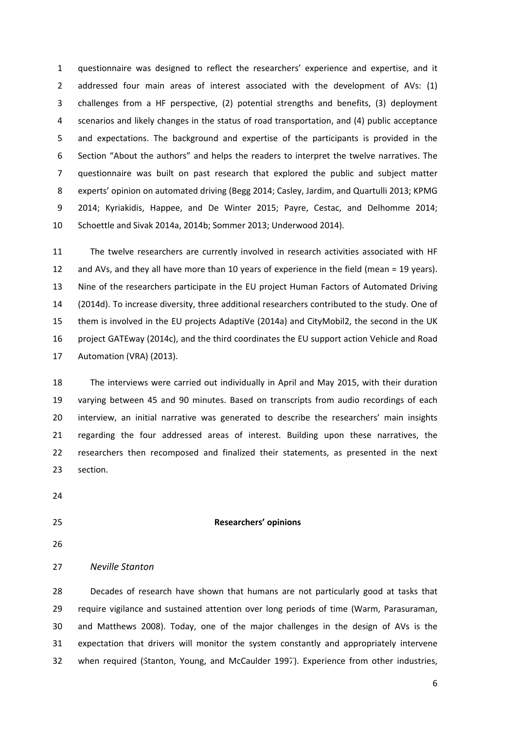questionnaire was designed to reflect the researchersí experience and expertise, and it addressed four main areas of interest associated with the development of AVs: (1) challenges from a HF perspective, (2) potential strengths and benefits, (3) deployment scenarios and likely changes in the status of road transportation, and (4) public acceptance and expectations. The background and expertise of the participants is provided in the 6 Section "About the authors" and helps the readers to interpret the twelve narratives. The questionnaire was built on past research that explored the public and subject matter expertsí opinion on automated driving (Begg 2014; Casley, Jardim, and Quartulli 2013; KPMG 2014; Kyriakidis, Happee, and De Winter 2015; Payre, Cestac, and Delhomme 2014; Schoettle and Sivak 2014a, 2014b; Sommer 2013; Underwood 2014).

 The twelve researchers are currently involved in research activities associated with HF and AVs, and they all have more than 10 years of experience in the field (mean = 19 years). Nine of the researchers participate in the EU project Human Factors of Automated Driving (2014d). To increase diversity, three additional researchers contributed to the study. One of them is involved in the EU projects AdaptiVe (2014a) and CityMobil2, the second in the UK project GATEway (2014c), and the third coordinates the EU support action Vehicle and Road Automation (VRA) (2013).

 The interviews were carried out individually in April and May 2015, with their duration varying between 45 and 90 minutes. Based on transcripts from audio recordings of each 20 interview, an initial narrative was generated to describe the researchers' main insights regarding the four addressed areas of interest. Building upon these narratives, the researchers then recomposed and finalized their statements, as presented in the next section.

### **Researchersí opinions**

# *Neville Stanton*

 Decades of research have shown that humans are not particularly good at tasks that require vigilance and sustained attention over long periods of time (Warm, Parasuraman, and Matthews 2008). Today, one of the major challenges in the design of AVs is the expectation that drivers will monitor the system constantly and appropriately intervene when required (Stanton, Young, and [McCaulder](https://www.researchgate.net/publication/223379801_Drive-by-wire_The_case_of_driver_workload_and_reclaiming_control_with_adaptive_cruise_control?el=1_x_8&enrichId=rgreq-54f8c9adb3c7f2795537bf218eb70de0-XXX&enrichSource=Y292ZXJQYWdlOzMxMzM2NzY3OTtBUzo0NTg3MDMwNzQ3OTU1MjFAMTQ4NjM3NDc0MzY4MQ==) 1997). Experience from other industries,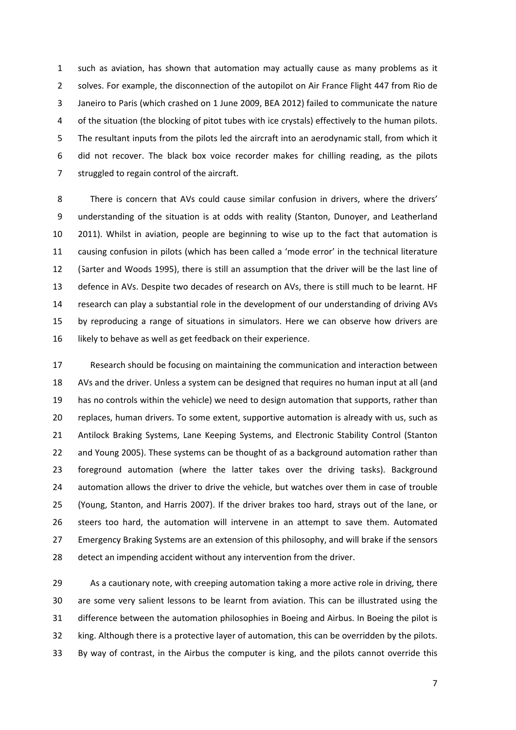such as aviation, has shown that automation may actually cause as many problems as it 2 solves. For example, the disconnection of the autopilot on Air France Flight 447 from Rio de Janeiro to Paris (which crashed on 1 June 2009, BEA 2012) failed to communicate the nature of the situation (the blocking of pitot tubes with ice crystals) effectively to the human pilots. The resultant inputs from the pilots led the aircraft into an aerodynamic stall, from which it did not recover. The black box voice recorder makes for chilling reading, as the pilots struggled to regain control of the aircraft.

8 There is concern that AVs could cause similar confusion in drivers, where the drivers' understanding of the situation is at odds with reality (Stanton, Dunoyer, and Leatherland 2011). Whilst in aviation, people are beginning to wise up to the fact that automation is 11 causing confusion in pilots (which has been called a 'mode error' in the technical literature (Sarter and [Woods](https://www.researchgate.net/publication/258138719_How_in_the_World_Did_We_Ever_Get_into_That_Mode_Mode_Error_and_Awareness_in_Supervisory_Control?el=1_x_8&enrichId=rgreq-54f8c9adb3c7f2795537bf218eb70de0-XXX&enrichSource=Y292ZXJQYWdlOzMxMzM2NzY3OTtBUzo0NTg3MDMwNzQ3OTU1MjFAMTQ4NjM3NDc0MzY4MQ==) 1995), there is still an assumption that the driver will be the last line of defence in AVs. Despite two decades of research on AVs, there is still much to be learnt. HF research can play a substantial role in the development of our understanding of driving AVs by reproducing a range of situations in simulators. Here we can observe how drivers are 16 likely to behave as well as get feedback on their experience.

 Research should be focusing on maintaining the communication and interaction between AVs and the driver. Unless a system can be designed that requires no human input at all (and has no controls within the vehicle) we need to design automation that supports, rather than replaces, human drivers. To some extent, supportive automation is already with us, such as Antilock Braking Systems, Lane Keeping Systems, and Electronic Stability Control (Stanton and Young 2005). These systems can be thought of as a background automation rather than foreground automation (where the latter takes over the driving tasks). Background automation allows the driver to drive the vehicle, but watches over them in case of trouble (Young, Stanton, and Harris 2007). If the driver brakes too hard, strays out of the lane, or steers too hard, the automation will intervene in an attempt to save them. Automated Emergency Braking Systems are an extension of this philosophy, and will brake if the sensors detect an impending accident without any intervention from the driver.

 As a cautionary note, with creeping automation taking a more active role in driving, there are some very salient lessons to be learnt from aviation. This can be illustrated using the difference between the automation philosophies in Boeing and Airbus. In Boeing the pilot is king. Although there is a protective layer of automation, this can be overridden by the pilots. By way of contrast, in the Airbus the computer is king, and the pilots cannot override this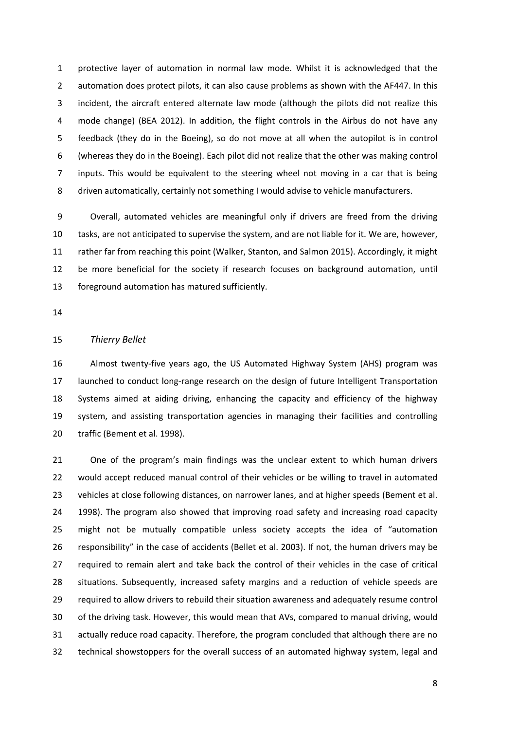protective layer of automation in normal law mode. Whilst it is acknowledged that the automation does protect pilots, it can also cause problems as shown with the AF447. In this incident, the aircraft entered alternate law mode (although the pilots did not realize this mode change) (BEA 2012). In addition, the flight controls in the Airbus do not have any feedback (they do in the Boeing), so do not move at all when the autopilot is in control (whereas they do in the Boeing). Each pilot did not realize that the other was making control inputs. This would be equivalent to the steering wheel not moving in a car that is being driven automatically, certainly not something I would advise to vehicle manufacturers.

 Overall, automated vehicles are meaningful only if drivers are freed from the driving tasks, are not anticipated to supervise the system, and are not liable for it. We are, however, rather far from reaching this point (Walker, Stanton, and Salmon 2015). Accordingly, it might be more beneficial for the society if research focuses on background automation, until foreground automation has matured sufficiently.

## *Thierry Bellet*

16 Almost twenty-five years ago, the US Automated Highway System (AHS) program was 17 launched to conduct long-range research on the design of future Intelligent Transportation Systems aimed at aiding driving, enhancing the capacity and efficiency of the highway system, and assisting transportation agencies in managing their facilities and controlling traffic (Bement et al. 1998).

21 One of the program's main findings was the unclear extent to which human drivers would accept reduced manual control of their vehicles or be willing to travel in automated vehicles at close following distances, on narrower lanes, and at higher speeds (Bement et al. 1998). The program also showed that improving road safety and increasing road capacity 25 might not be mutually compatible unless society accepts the idea of "automation responsibilityî in the case of accidents (Bellet et al. 2003). If not, the human drivers may be required to remain alert and take back the control of their vehicles in the case of critical situations. Subsequently, increased safety margins and a reduction of vehicle speeds are required to allow drivers to rebuild their situation awareness and adequately resume control of the driving task. However, this would mean that AVs, compared to manual driving, would actually reduce road capacity. Therefore, the program concluded that although there are no technical showstoppers for the overall success of an automated highway system, legal and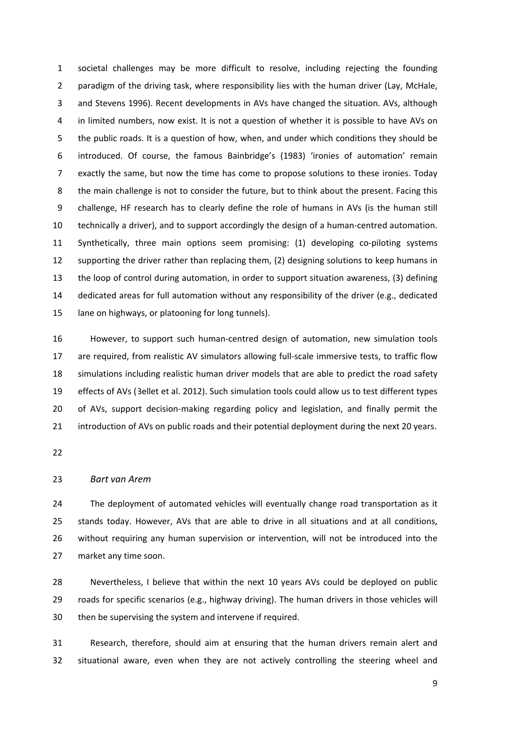societal challenges may be more difficult to resolve, including rejecting the founding 2 paradigm of the driving task, where responsibility lies with the human driver (Lay, McHale, and Stevens 1996). Recent developments in AVs have changed the situation. AVs, although in limited numbers, now exist. It is not a question of whether it is possible to have AVs on the public roads. It is a question of how, when, and under which conditions they should be introduced. Of course, the famous Bainbridgeís (1983) ëironies of automationí remain exactly the same, but now the time has come to propose solutions to these ironies. Today the main challenge is not to consider the future, but to think about the present. Facing this challenge, HF research has to clearly define the role of humans in AVs (is the human still 10 technically a driver), and to support accordingly the design of a human-centred automation. 11 Synthetically, three main options seem promising: (1) developing co-piloting systems supporting the driver rather than replacing them, (2) designing solutions to keep humans in the loop of control during automation, in order to support situation awareness, (3) defining dedicated areas for full automation without any responsibility of the driver (e.g., dedicated lane on highways, or platooning for long tunnels).

16 However, to support such human-centred design of automation, new simulation tools 17 are required, from realistic AV simulators allowing full-scale immersive tests, to traffic flow simulations including realistic human driver models that are able to predict the road safety effects of AVs (Bellet et al. [2012\)](https://www.researchgate.net/publication/281660194_A_computational_model_of_the_car_driver_interfaced_with_a_simulation_platform_for_future_Virtual_Human_Centred_Design_applications_COSMO-SIVIC?el=1_x_8&enrichId=rgreq-54f8c9adb3c7f2795537bf218eb70de0-XXX&enrichSource=Y292ZXJQYWdlOzMxMzM2NzY3OTtBUzo0NTg3MDMwNzQ3OTU1MjFAMTQ4NjM3NDc0MzY4MQ==). Such simulation tools could allow us to test different types 20 of AVs, support decision-making regarding policy and legislation, and finally permit the introduction of AVs on public roads and their potential deployment during the next 20 years.

#### *Bart van Arem*

 The deployment of automated vehicles will eventually change road transportation as it stands today. However, AVs that are able to drive in all situations and at all conditions, without requiring any human supervision or intervention, will not be introduced into the market any time soon.

 Nevertheless, I believe that within the next 10 years AVs could be deployed on public roads for specific scenarios (e.g., highway driving). The human drivers in those vehicles will then be supervising the system and intervene if required.

 Research, therefore, should aim at ensuring that the human drivers remain alert and situational aware, even when they are not actively controlling the steering wheel and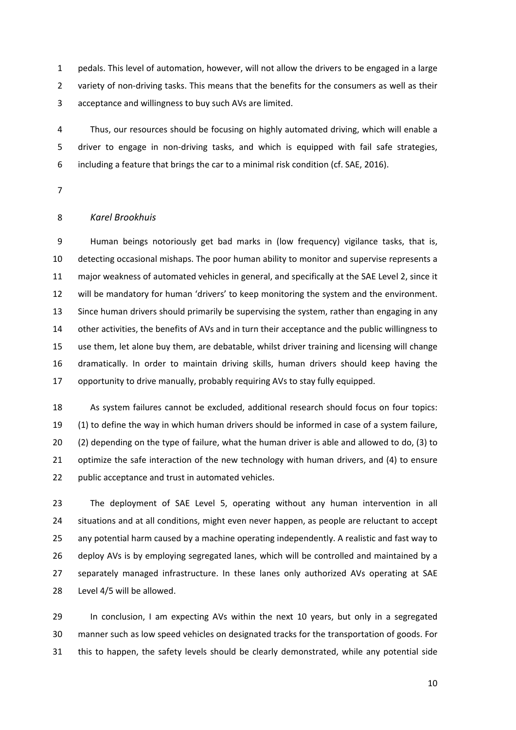pedals. This level of automation, however, will not allow the drivers to be engaged in a large 2 variety of non-driving tasks. This means that the benefits for the consumers as well as their acceptance and willingness to buy such AVs are limited.

 Thus, our resources should be focusing on highly automated driving, which will enable a 5 driver to engage in non-driving tasks, and which is equipped with fail safe strategies, including a feature that brings the car to a minimal risk condition (cf. SAE, 2016).

## *Karel Brookhuis*

 Human beings notoriously get bad marks in (low frequency) vigilance tasks, that is, detecting occasional mishaps. The poor human ability to monitor and supervise represents a major weakness of automated vehicles in general, and specifically at the SAE Level 2, since it 12 will be mandatory for human 'drivers' to keep monitoring the system and the environment. Since human drivers should primarily be supervising the system, rather than engaging in any other activities, the benefits of AVs and in turn their acceptance and the public willingness to use them, let alone buy them, are debatable, whilst driver training and licensing will change dramatically. In order to maintain driving skills, human drivers should keep having the opportunity to drive manually, probably requiring AVs to stay fully equipped.

 As system failures cannot be excluded, additional research should focus on four topics: (1) to define the way in which human drivers should be informed in case of a system failure, (2) depending on the type of failure, what the human driver is able and allowed to do, (3) to optimize the safe interaction of the new technology with human drivers, and (4) to ensure 22 public acceptance and trust in automated vehicles.

 The deployment of SAE Level 5, operating without any human intervention in all situations and at all conditions, might even never happen, as people are reluctant to accept any potential harm caused by a machine operating independently. A realistic and fast way to deploy AVs is by employing segregated lanes, which will be controlled and maintained by a separately managed infrastructure. In these lanes only authorized AVs operating at SAE Level 4/5 will be allowed.

 In conclusion, I am expecting AVs within the next 10 years, but only in a segregated manner such as low speed vehicles on designated tracks for the transportation of goods. For this to happen, the safety levels should be clearly demonstrated, while any potential side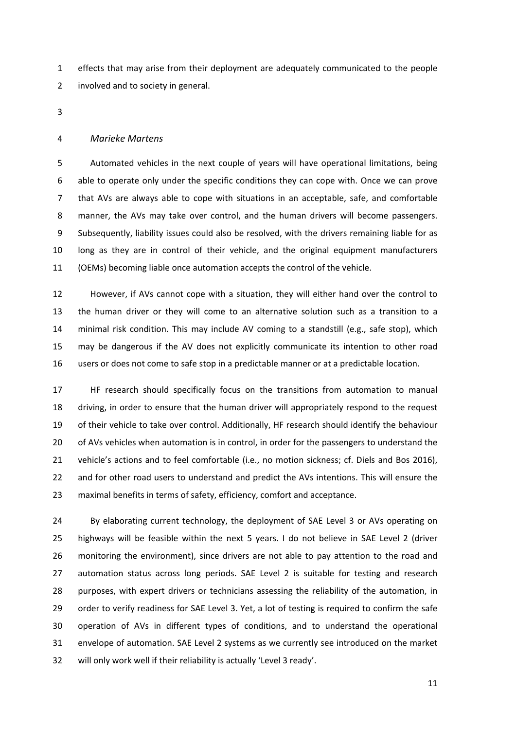effects that may arise from their deployment are adequately communicated to the people involved and to society in general.

### *Marieke Martens*

 Automated vehicles in the next couple of years will have operational limitations, being able to operate only under the specific conditions they can cope with. Once we can prove that AVs are always able to cope with situations in an acceptable, safe, and comfortable manner, the AVs may take over control, and the human drivers will become passengers. Subsequently, liability issues could also be resolved, with the drivers remaining liable for as long as they are in control of their vehicle, and the original equipment manufacturers (OEMs) becoming liable once automation accepts the control of the vehicle.

 However, if AVs cannot cope with a situation, they will either hand over the control to the human driver or they will come to an alternative solution such as a transition to a minimal risk condition. This may include AV coming to a standstill (e.g., safe stop), which may be dangerous if the AV does not explicitly communicate its intention to other road users or does not come to safe stop in a predictable manner or at a predictable location.

 HF research should specifically focus on the transitions from automation to manual driving, in order to ensure that the human driver will appropriately respond to the request of their vehicle to take over control. Additionally, HF research should identify the behaviour of AVs vehicles when automation is in control, in order for the passengers to understand the 21 vehicle's actions and to feel comfortable (i.e., no motion sickness; cf. Diels and Bos 2016), 22 and for other road users to understand and predict the AVs intentions. This will ensure the maximal benefits in terms of safety, efficiency, comfort and acceptance.

24 By elaborating current technology, the deployment of SAE Level 3 or AVs operating on highways will be feasible within the next 5 years. I do not believe in SAE Level 2 (driver monitoring the environment), since drivers are not able to pay attention to the road and automation status across long periods. SAE Level 2 is suitable for testing and research purposes, with expert drivers or technicians assessing the reliability of the automation, in order to verify readiness for SAE Level 3. Yet, a lot of testing is required to confirm the safe operation of AVs in different types of conditions, and to understand the operational envelope of automation. SAE Level 2 systems as we currently see introduced on the market 32 will only work well if their reliability is actually 'Level 3 ready'.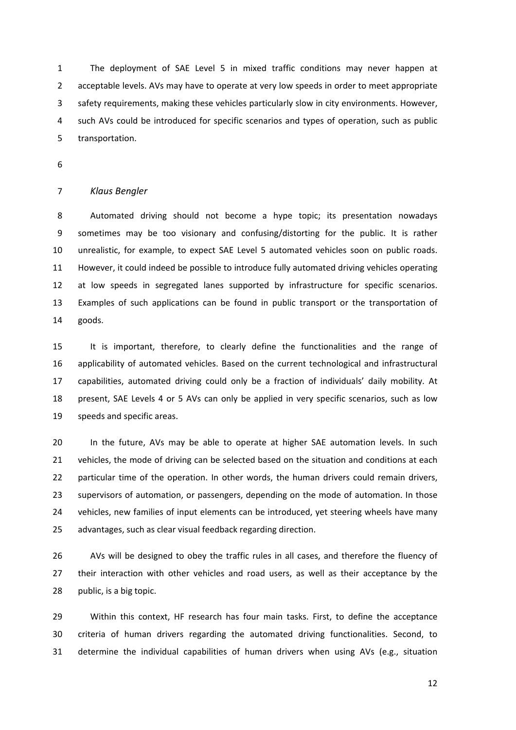The deployment of SAE Level 5 in mixed traffic conditions may never happen at acceptable levels. AVs may have to operate at very low speeds in order to meet appropriate safety requirements, making these vehicles particularly slow in city environments. However, such AVs could be introduced for specific scenarios and types of operation, such as public transportation.

### *Klaus Bengler*

 Automated driving should not become a hype topic; its presentation nowadays sometimes may be too visionary and confusing/distorting for the public. It is rather unrealistic, for example, to expect SAE Level 5 automated vehicles soon on public roads. However, it could indeed be possible to introduce fully automated driving vehicles operating at low speeds in segregated lanes supported by infrastructure for specific scenarios. Examples of such applications can be found in public transport or the transportation of goods.

 It is important, therefore, to clearly define the functionalities and the range of applicability of automated vehicles. Based on the current technological and infrastructural 17 capabilities, automated driving could only be a fraction of individuals' daily mobility. At present, SAE Levels 4 or 5 AVs can only be applied in very specific scenarios, such as low speeds and specific areas.

 In the future, AVs may be able to operate at higher SAE automation levels. In such 21 vehicles, the mode of driving can be selected based on the situation and conditions at each 22 particular time of the operation. In other words, the human drivers could remain drivers, supervisors of automation, or passengers, depending on the mode of automation. In those vehicles, new families of input elements can be introduced, yet steering wheels have many advantages, such as clear visual feedback regarding direction.

26 AVs will be designed to obey the traffic rules in all cases, and therefore the fluency of their interaction with other vehicles and road users, as well as their acceptance by the public, is a big topic.

 Within this context, HF research has four main tasks. First, to define the acceptance criteria of human drivers regarding the automated driving functionalities. Second, to determine the individual capabilities of human drivers when using AVs (e.g., situation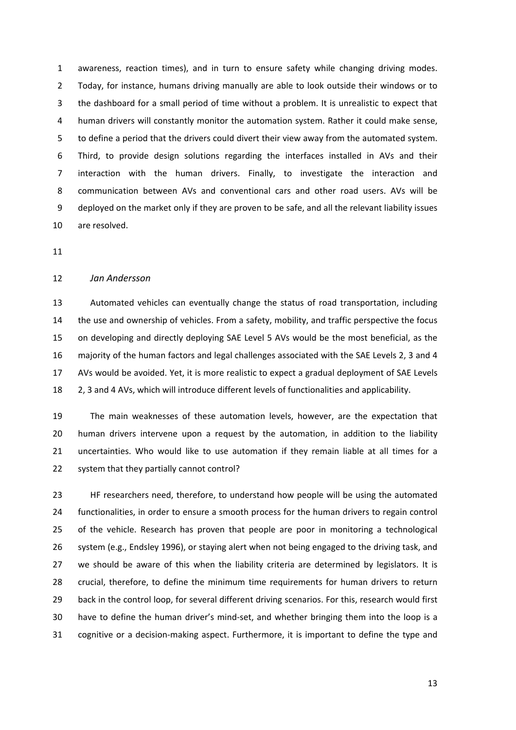awareness, reaction times), and in turn to ensure safety while changing driving modes. Today, for instance, humans driving manually are able to look outside their windows or to the dashboard for a small period of time without a problem. It is unrealistic to expect that human drivers will constantly monitor the automation system. Rather it could make sense, to define a period that the drivers could divert their view away from the automated system. Third, to provide design solutions regarding the interfaces installed in AVs and their interaction with the human drivers. Finally, to investigate the interaction and communication between AVs and conventional cars and other road users. AVs will be deployed on the market only if they are proven to be safe, and all the relevant liability issues are resolved.

#### *Jan Andersson*

 Automated vehicles can eventually change the status of road transportation, including the use and ownership of vehicles. From a safety, mobility, and traffic perspective the focus on developing and directly deploying SAE Level 5 AVs would be the most beneficial, as the majority of the human factors and legal challenges associated with the SAE Levels 2, 3 and 4 AVs would be avoided. Yet, it is more realistic to expect a gradual deployment of SAE Levels 2, 3 and 4 AVs, which will introduce different levels of functionalities and applicability.

 The main weaknesses of these automation levels, however, are the expectation that human drivers intervene upon a request by the automation, in addition to the liability uncertainties. Who would like to use automation if they remain liable at all times for a system that they partially cannot control?

 HF researchers need, therefore, to understand how people will be using the automated functionalities, in order to ensure a smooth process for the human drivers to regain control of the vehicle. Research has proven that people are poor in monitoring a technological system (e.g., Endsley 1996), or staying alert when not being engaged to the driving task, and 27 we should be aware of this when the liability criteria are determined by legislators. It is crucial, therefore, to define the minimum time requirements for human drivers to return back in the control loop, for several different driving scenarios. For this, research would first 30 have to define the human driver's mind-set, and whether bringing them into the loop is a 31 cognitive or a decision-making aspect. Furthermore, it is important to define the type and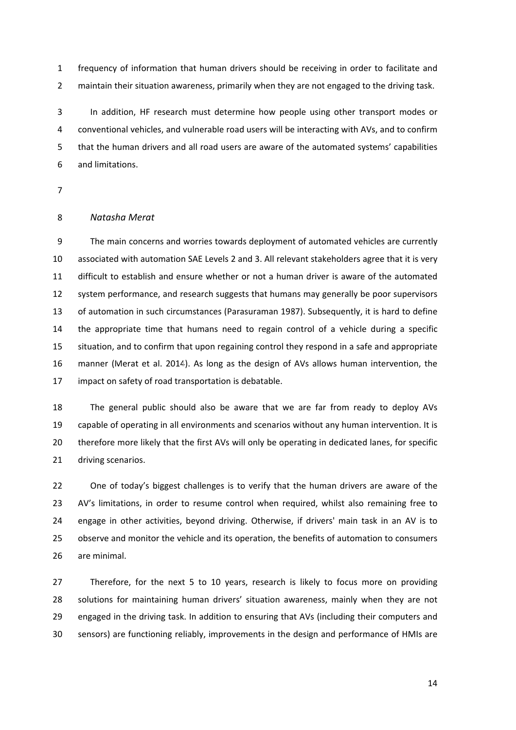frequency of information that human drivers should be receiving in order to facilitate and maintain their situation awareness, primarily when they are not engaged to the driving task.

 In addition, HF research must determine how people using other transport modes or conventional vehicles, and vulnerable road users will be interacting with AVs, and to confirm 5 that the human drivers and all road users are aware of the automated systems' capabilities and limitations.

# *Natasha Merat*

 The main concerns and worries towards deployment of automated vehicles are currently associated with automation SAE Levels 2 and 3. All relevant stakeholders agree that it is very difficult to establish and ensure whether or not a human driver is aware of the automated system performance, and research suggests that humans may generally be poor supervisors of automation in such circumstances [\(Parasuraman](https://www.researchgate.net/publication/258138619_Human-Computer_Monitoring?el=1_x_8&enrichId=rgreq-54f8c9adb3c7f2795537bf218eb70de0-XXX&enrichSource=Y292ZXJQYWdlOzMxMzM2NzY3OTtBUzo0NTg3MDMwNzQ3OTU1MjFAMTQ4NjM3NDc0MzY4MQ==) 1987). Subsequently, it is hard to define the appropriate time that humans need to regain control of a vehicle during a specific situation, and to confirm that upon regaining control they respond in a safe and appropriate manner ([Merat](https://www.researchgate.net/publication/264049557_Transition_to_manual_Driver_behaviour_when_resuming_control_from_a_highly_automated_vehicle?el=1_x_8&enrichId=rgreq-54f8c9adb3c7f2795537bf218eb70de0-XXX&enrichSource=Y292ZXJQYWdlOzMxMzM2NzY3OTtBUzo0NTg3MDMwNzQ3OTU1MjFAMTQ4NjM3NDc0MzY4MQ==) et al. 2014). As long as the design of AVs allows human intervention, the impact on safety of road transportation is debatable.

 The general public should also be aware that we are far from ready to deploy AVs capable of operating in all environments and scenarios without any human intervention. It is therefore more likely that the first AVs will only be operating in dedicated lanes, for specific driving scenarios.

 One of todayís biggest challenges is to verify that the human drivers are aware of the AVís limitations, in order to resume control when required, whilst also remaining free to engage in other activities, beyond driving. Otherwise, if drivers' main task in an AV is to observe and monitor the vehicle and its operation, the benefits of automation to consumers are minimal.

 Therefore, for the next 5 to 10 years, research is likely to focus more on providing 28 solutions for maintaining human drivers' situation awareness, mainly when they are not engaged in the driving task. In addition to ensuring that AVs (including their computers and sensors) are functioning reliably, improvements in the design and performance of HMIs are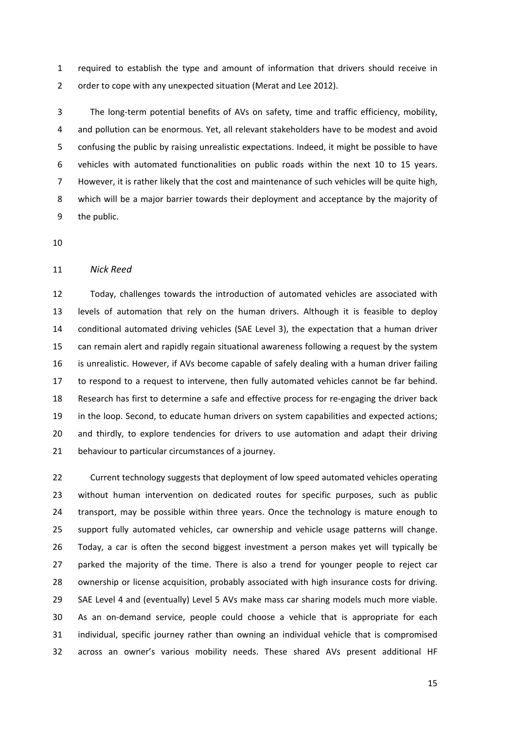required to establish the type and amount of information that drivers should receive in 2 order to cope with any unexpected situation (Merat and Lee 2012).

3 The long-term potential benefits of AVs on safety, time and traffic efficiency, mobility, and pollution can be enormous. Yet, all relevant stakeholders have to be modest and avoid confusing the public by raising unrealistic expectations. Indeed, it might be possible to have vehicles with automated functionalities on public roads within the next 10 to 15 years. However, it is rather likely that the cost and maintenance of such vehicles will be quite high, which will be a major barrier towards their deployment and acceptance by the majority of the public.

### *Nick Reed*

 Today, challenges towards the introduction of automated vehicles are associated with levels of automation that rely on the human drivers. Although it is feasible to deploy conditional automated driving vehicles (SAE Level 3), the expectation that a human driver can remain alert and rapidly regain situational awareness following a request by the system is unrealistic. However, if AVs become capable of safely dealing with a human driver failing to respond to a request to intervene, then fully automated vehicles cannot be far behind. 18 Research has first to determine a safe and effective process for re-engaging the driver back in the loop. Second, to educate human drivers on system capabilities and expected actions; and thirdly, to explore tendencies for drivers to use automation and adapt their driving behaviour to particular circumstances of a journey.

 Current technology suggests that deployment of low speed automated vehicles operating without human intervention on dedicated routes for specific purposes, such as public transport, may be possible within three years. Once the technology is mature enough to support fully automated vehicles, car ownership and vehicle usage patterns will change. Today, a car is often the second biggest investment a person makes yet will typically be parked the majority of the time. There is also a trend for younger people to reject car ownership or license acquisition, probably associated with high insurance costs for driving. SAE Level 4 and (eventually) Level 5 AVs make mass car sharing models much more viable. 30 As an on-demand service, people could choose a vehicle that is appropriate for each individual, specific journey rather than owning an individual vehicle that is compromised across an ownerís various mobility needs. These shared AVs present additional HF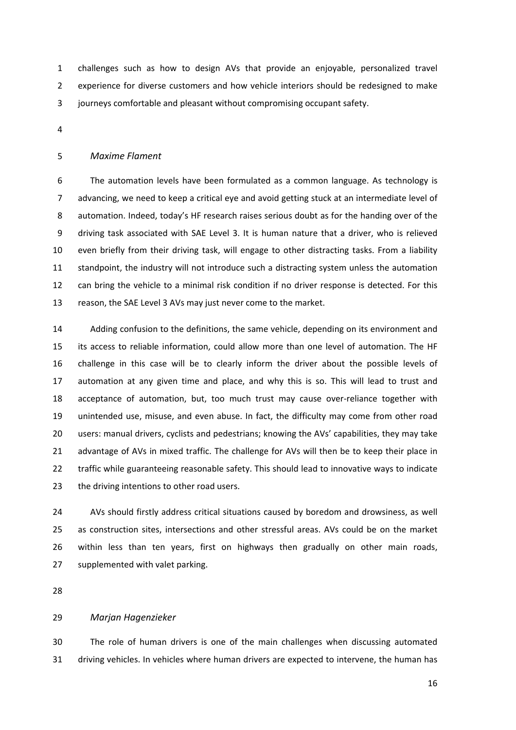challenges such as how to design AVs that provide an enjoyable, personalized travel experience for diverse customers and how vehicle interiors should be redesigned to make journeys comfortable and pleasant without compromising occupant safety.

### *Maxime Flament*

 The automation levels have been formulated as a common language. As technology is advancing, we need to keep a critical eye and avoid getting stuck at an intermediate level of automation. Indeed, todayís HF research raises serious doubt as for the handing over of the driving task associated with SAE Level 3. It is human nature that a driver, who is relieved even briefly from their driving task, will engage to other distracting tasks. From a liability standpoint, the industry will not introduce such a distracting system unless the automation can bring the vehicle to a minimal risk condition if no driver response is detected. For this reason, the SAE Level 3 AVs may just never come to the market.

 Adding confusion to the definitions, the same vehicle, depending on its environment and its access to reliable information, could allow more than one level of automation. The HF challenge in this case will be to clearly inform the driver about the possible levels of automation at any given time and place, and why this is so. This will lead to trust and 18 acceptance of automation, but, too much trust may cause over-reliance together with unintended use, misuse, and even abuse. In fact, the difficulty may come from other road 20 users: manual drivers, cyclists and pedestrians; knowing the AVs' capabilities, they may take advantage of AVs in mixed traffic. The challenge for AVs will then be to keep their place in traffic while guaranteeing reasonable safety. This should lead to innovative ways to indicate the driving intentions to other road users.

 AVs should firstly address critical situations caused by boredom and drowsiness, as well as construction sites, intersections and other stressful areas. AVs could be on the market within less than ten years, first on highways then gradually on other main roads, supplemented with valet parking.

### *Marjan Hagenzieker*

 The role of human drivers is one of the main challenges when discussing automated driving vehicles. In vehicles where human drivers are expected to intervene, the human has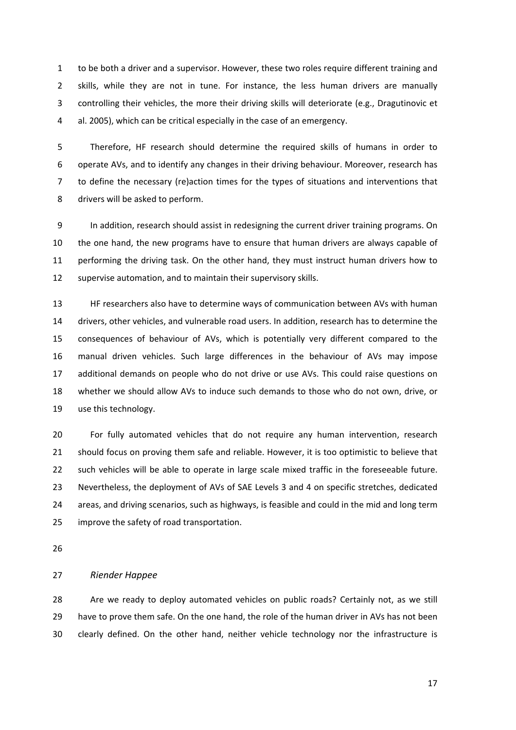to be both a driver and a supervisor. However, these two roles require different training and skills, while they are not in tune. For instance, the less human drivers are manually controlling their vehicles, the more their driving skills will deteriorate (e.g., Dragutinovic et al. 2005), which can be critical especially in the case of an emergency.

 Therefore, HF research should determine the required skills of humans in order to operate AVs, and to identify any changes in their driving behaviour. Moreover, research has to define the necessary (re)action times for the types of situations and interventions that drivers will be asked to perform.

 In addition, research should assist in redesigning the current driver training programs. On the one hand, the new programs have to ensure that human drivers are always capable of performing the driving task. On the other hand, they must instruct human drivers how to supervise automation, and to maintain their supervisory skills.

 HF researchers also have to determine ways of communication between AVs with human drivers, other vehicles, and vulnerable road users. In addition, research has to determine the consequences of behaviour of AVs, which is potentially very different compared to the manual driven vehicles. Such large differences in the behaviour of AVs may impose additional demands on people who do not drive or use AVs. This could raise questions on whether we should allow AVs to induce such demands to those who do not own, drive, or use this technology.

 For fully automated vehicles that do not require any human intervention, research should focus on proving them safe and reliable. However, it is too optimistic to believe that such vehicles will be able to operate in large scale mixed traffic in the foreseeable future. Nevertheless, the deployment of AVs of SAE Levels 3 and 4 on specific stretches, dedicated areas, and driving scenarios, such as highways, is feasible and could in the mid and long term improve the safety of road transportation.

## *Riender Happee*

 Are we ready to deploy automated vehicles on public roads? Certainly not, as we still have to prove them safe. On the one hand, the role of the human driver in AVs has not been clearly defined. On the other hand, neither vehicle technology nor the infrastructure is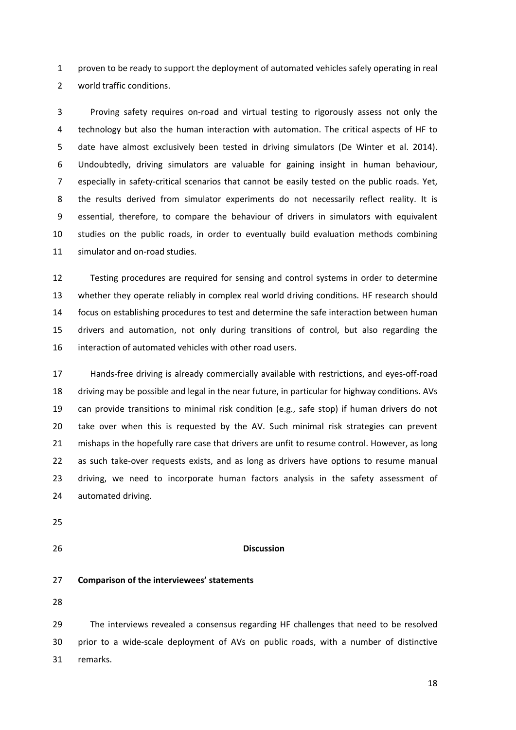proven to be ready to support the deployment of automated vehicles safely operating in real world traffic conditions.

3 Proving safety requires on-road and virtual testing to rigorously assess not only the technology but also the human interaction with automation. The critical aspects of HF to date have almost exclusively been tested in driving simulators (De Winter et al. 2014). Undoubtedly, driving simulators are valuable for gaining insight in human behaviour, 7 especially in safety-critical scenarios that cannot be easily tested on the public roads. Yet, the results derived from simulator experiments do not necessarily reflect reality. It is essential, therefore, to compare the behaviour of drivers in simulators with equivalent studies on the public roads, in order to eventually build evaluation methods combining 11 simulator and on-road studies.

 Testing procedures are required for sensing and control systems in order to determine whether they operate reliably in complex real world driving conditions. HF research should focus on establishing procedures to test and determine the safe interaction between human drivers and automation, not only during transitions of control, but also regarding the interaction of automated vehicles with other road users.

17 Hands-free driving is already commercially available with restrictions, and eyes-off-road driving may be possible and legal in the near future, in particular for highway conditions. AVs can provide transitions to minimal risk condition (e.g., safe stop) if human drivers do not take over when this is requested by the AV. Such minimal risk strategies can prevent 21 mishaps in the hopefully rare case that drivers are unfit to resume control. However, as long 22 as such take-over requests exists, and as long as drivers have options to resume manual driving, we need to incorporate human factors analysis in the safety assessment of automated driving.

- 
- 

#### **Discussion**

**Comparison of the intervieweesí statements**

 The interviews revealed a consensus regarding HF challenges that need to be resolved 30 prior to a wide-scale deployment of AVs on public roads, with a number of distinctive remarks.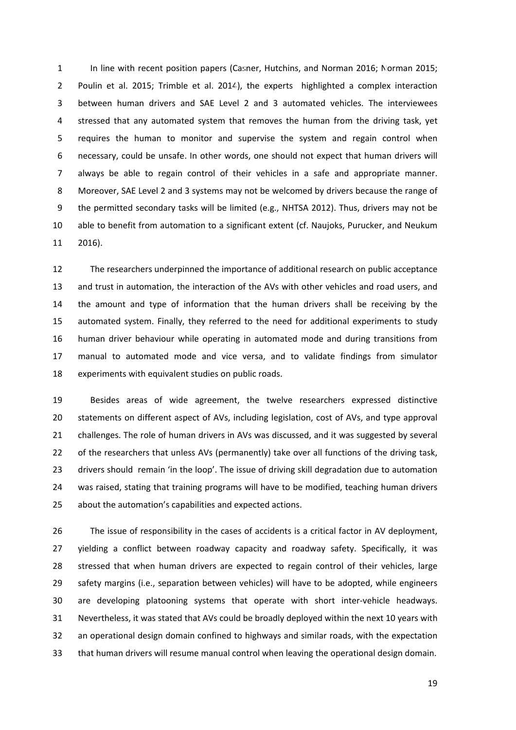In line with recent position papers (Casner, [Hutchins,](https://www.researchgate.net/publication/301676342_The_Challenges_of_Partially_Automated_Driving?el=1_x_8&enrichId=rgreq-54f8c9adb3c7f2795537bf218eb70de0-XXX&enrichSource=Y292ZXJQYWdlOzMxMzM2NzY3OTtBUzo0NTg3MDMwNzQ3OTU1MjFAMTQ4NjM3NDc0MzY4MQ==) and Norman 2016; [Norman](https://www.researchgate.net/publication/310748241_The_human_side_of_automation?el=1_x_8&enrichId=rgreq-54f8c9adb3c7f2795537bf218eb70de0-XXX&enrichSource=Y292ZXJQYWdlOzMxMzM2NzY3OTtBUzo0NTg3MDMwNzQ3OTU1MjFAMTQ4NjM3NDc0MzY4MQ==) 2015; 2 Poulin et al. 2015; [Trimble](https://www.researchgate.net/publication/277012098_Human_factors_evaluation_of_level_2_and_level_3_automated_driving_concepts_Past_research_state_of_automation_technology_and_emerging_system_concepts?el=1_x_8&enrichId=rgreq-54f8c9adb3c7f2795537bf218eb70de0-XXX&enrichSource=Y292ZXJQYWdlOzMxMzM2NzY3OTtBUzo0NTg3MDMwNzQ3OTU1MjFAMTQ4NjM3NDc0MzY4MQ==) et al. 2014), the experts highlighted a complex interaction between human drivers and SAE Level 2 and 3 automated vehicles. The interviewees stressed that any automated system that removes the human from the driving task, yet requires the human to monitor and supervise the system and regain control when necessary, could be unsafe. In other words, one should not expect that human drivers will always be able to regain control of their vehicles in a safe and appropriate manner. Moreover, SAE Level 2 and 3 systems may not be welcomed by drivers because the range of the permitted secondary tasks will be limited (e.g., NHTSA 2012). Thus, drivers may not be able to benefit from automation to a significant extent (cf. Naujoks, Purucker, and Neukum 2016).

 The researchers underpinned the importance of additional research on public acceptance and trust in automation, the interaction of the AVs with other vehicles and road users, and the amount and type of information that the human drivers shall be receiving by the automated system. Finally, they referred to the need for additional experiments to study human driver behaviour while operating in automated mode and during transitions from manual to automated mode and vice versa, and to validate findings from simulator experiments with equivalent studies on public roads.

 Besides areas of wide agreement, the twelve researchers expressed distinctive statements on different aspect of AVs, including legislation, cost of AVs, and type approval challenges. The role of human drivers in AVs was discussed, and it was suggested by several 22 of the researchers that unless AVs (permanently) take over all functions of the driving task, 23 drivers should remain 'in the loop'. The issue of driving skill degradation due to automation was raised, stating that training programs will have to be modified, teaching human drivers 25 about the automation's capabilities and expected actions.

 The issue of responsibility in the cases of accidents is a critical factor in AV deployment, yielding a conflict between roadway capacity and roadway safety. Specifically, it was stressed that when human drivers are expected to regain control of their vehicles, large safety margins (i.e., separation between vehicles) will have to be adopted, while engineers 30 are developing platooning systems that operate with short inter-vehicle headways. Nevertheless, it was stated that AVs could be broadly deployed within the next 10 years with an operational design domain confined to highways and similar roads, with the expectation that human drivers will resume manual control when leaving the operational design domain.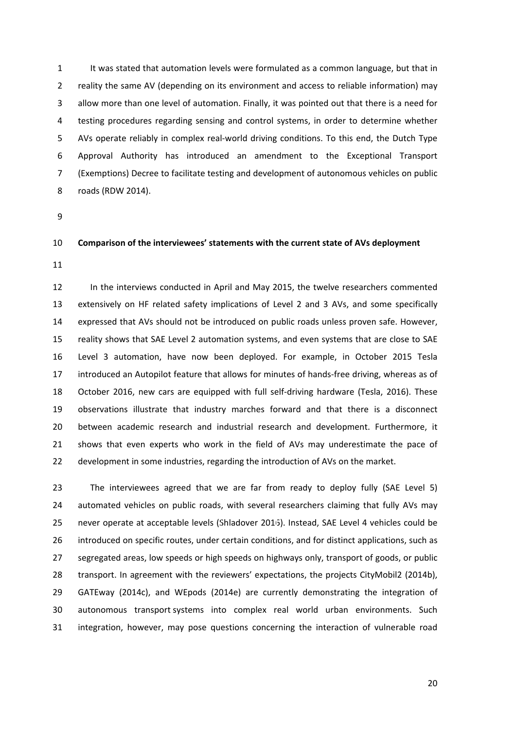It was stated that automation levels were formulated as a common language, but that in reality the same AV (depending on its environment and access to reliable information) may allow more than one level of automation. Finally, it was pointed out that there is a need for testing procedures regarding sensing and control systems, in order to determine whether 5 AVs operate reliably in complex real-world driving conditions. To this end, the Dutch Type Approval Authority has introduced an amendment to the Exceptional Transport (Exemptions) Decree to facilitate testing and development of autonomous vehicles on public roads (RDW 2014).

### **Comparison of the intervieweesí statements with the current state of AVs deployment**

 In the interviews conducted in April and May 2015, the twelve researchers commented extensively on HF related safety implications of Level 2 and 3 AVs, and some specifically expressed that AVs should not be introduced on public roads unless proven safe. However, reality shows that SAE Level 2 automation systems, and even systems that are close to SAE Level 3 automation, have now been deployed. For example, in October 2015 Tesla 17 introduced an Autopilot feature that allows for minutes of hands-free driving, whereas as of 18 October 2016, new cars are equipped with full self-driving hardware (Tesla, 2016). These observations illustrate that industry marches forward and that there is a disconnect between academic research and industrial research and development. Furthermore, it shows that even experts who work in the field of AVs may underestimate the pace of development in some industries, regarding the introduction of AVs on the market.

 The interviewees agreed that we are far from ready to deploy fully (SAE Level 5) automated vehicles on public roads, with several researchers claiming that fully AVs may never operate at acceptable levels ([Shladover](https://www.researchgate.net/publication/303393146_The_Truth_about_Self-Driving_Cars?el=1_x_8&enrichId=rgreq-54f8c9adb3c7f2795537bf218eb70de0-XXX&enrichSource=Y292ZXJQYWdlOzMxMzM2NzY3OTtBUzo0NTg3MDMwNzQ3OTU1MjFAMTQ4NjM3NDc0MzY4MQ==) 2016). Instead, SAE Level 4 vehicles could be introduced on specific routes, under certain conditions, and for distinct applications, such as segregated areas, low speeds or high speeds on highways only, transport of goods, or public 28 transport. In agreement with the reviewers' expectations, the projects CityMobil2 (2014b), GATEway (2014c), and WEpods (2014e) are currently demonstrating the integration of autonomous transport systems into complex real world urban environments. Such integration, however, may pose questions concerning the interaction of vulnerable road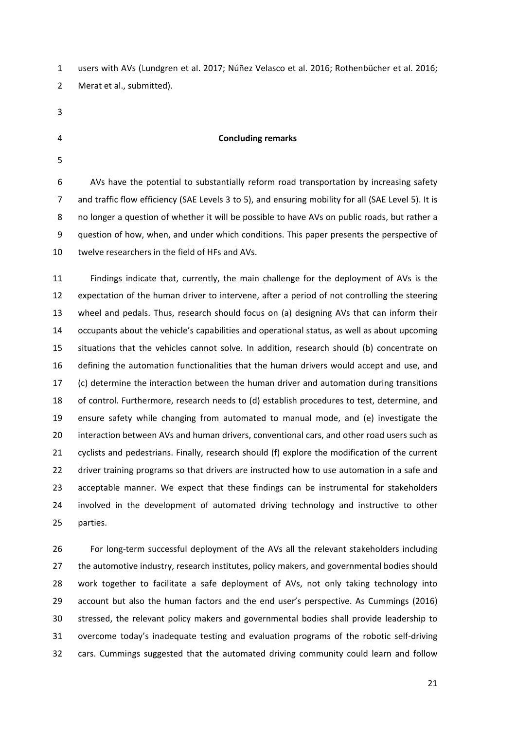1 users with AVs ([Lundgren](https://www.researchgate.net/publication/304996159_Will_There_Be_New_Communication_Needs_When_Introducing_Automated_Vehicles_to_the_Urban_Context?el=1_x_8&enrichId=rgreq-54f8c9adb3c7f2795537bf218eb70de0-XXX&enrichSource=Y292ZXJQYWdlOzMxMzM2NzY3OTtBUzo0NTg3MDMwNzQ3OTU1MjFAMTQ4NjM3NDc0MzY4MQ==) et al. 2017; Núñez Velasco et al. 2016; Rothenbücher et al. 2016; Merat et al., submitted).

- 
- 

### **Concluding remarks**

 AVs have the potential to substantially reform road transportation by increasing safety 7 and traffic flow efficiency (SAE Levels 3 to 5), and ensuring mobility for all (SAE Level 5). It is no longer a question of whether it will be possible to have AVs on public roads, but rather a question of how, when, and under which conditions. This paper presents the perspective of twelve researchers in the field of HFs and AVs.

 Findings indicate that, currently, the main challenge for the deployment of AVs is the expectation of the human driver to intervene, after a period of not controlling the steering wheel and pedals. Thus, research should focus on (a) designing AVs that can inform their occupants about the vehicleís capabilities and operational status, as well as about upcoming situations that the vehicles cannot solve. In addition, research should (b) concentrate on defining the automation functionalities that the human drivers would accept and use, and (c) determine the interaction between the human driver and automation during transitions of control. Furthermore, research needs to (d) establish procedures to test, determine, and ensure safety while changing from automated to manual mode, and (e) investigate the interaction between AVs and human drivers, conventional cars, and other road users such as cyclists and pedestrians. Finally, research should (f) explore the modification of the current 22 driver training programs so that drivers are instructed how to use automation in a safe and acceptable manner. We expect that these findings can be instrumental for stakeholders involved in the development of automated driving technology and instructive to other parties.

26 For long-term successful deployment of the AVs all the relevant stakeholders including the automotive industry, research institutes, policy makers, and governmental bodies should work together to facilitate a safe deployment of AVs, not only taking technology into 29 account but also the human factors and the end user's perspective. As Cummings (2016) stressed, the relevant policy makers and governmental bodies shall provide leadership to 31 overcome today's inadequate testing and evaluation programs of the robotic self-driving cars. Cummings suggested that the automated driving community could learn and follow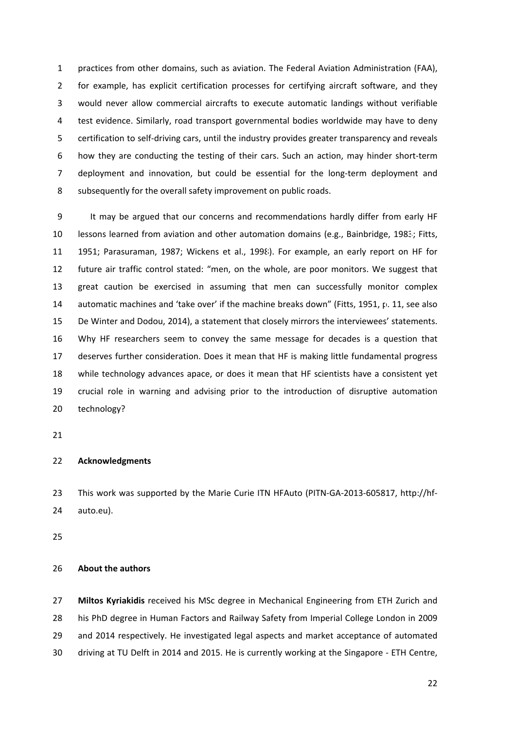practices from other domains, such as aviation. The Federal Aviation Administration (FAA), for example, has explicit certification processes for certifying aircraft software, and they would never allow commercial aircrafts to execute automatic landings without verifiable test evidence. Similarly, road transport governmental bodies worldwide may have to deny 5 certification to self-driving cars, until the industry provides greater transparency and reveals 6 how they are conducting the testing of their cars. Such an action, may hinder short-term 7 deployment and innovation, but could be essential for the long-term deployment and subsequently for the overall safety improvement on public roads.

 It may be argued that our concerns and recommendations hardly differ from early HF lessons learned from aviation and other automation domains (e.g., [Bainbridge,](https://www.researchgate.net/publication/313042346_Ironies_of_Automation?el=1_x_8&enrichId=rgreq-54f8c9adb3c7f2795537bf218eb70de0-XXX&enrichSource=Y292ZXJQYWdlOzMxMzM2NzY3OTtBUzo0NTg3MDMwNzQ3OTU1MjFAMTQ4NjM3NDc0MzY4MQ==) 1983; Fitts, 1951; [Parasuraman,](https://www.researchgate.net/publication/258138619_Human-Computer_Monitoring?el=1_x_8&enrichId=rgreq-54f8c9adb3c7f2795537bf218eb70de0-XXX&enrichSource=Y292ZXJQYWdlOzMxMzM2NzY3OTtBUzo0NTg3MDMwNzQ3OTU1MjFAMTQ4NjM3NDc0MzY4MQ==) 1987; [Wickens](https://www.researchgate.net/publication/247888194_The_Future_of_Air_Traffic_Control_Human_Operators_and_Automation?el=1_x_8&enrichId=rgreq-54f8c9adb3c7f2795537bf218eb70de0-XXX&enrichSource=Y292ZXJQYWdlOzMxMzM2NzY3OTtBUzo0NTg3MDMwNzQ3OTU1MjFAMTQ4NjM3NDc0MzY4MQ==) et al., 1998). For example, an early report on HF for 12 future air traffic control stated: "men, on the whole, are poor monitors. We suggest that great caution be exercised in assuming that men can successfully monitor complex 14 automatic machines and 'take over' if the machine breaks down" [\(Fitts,](https://www.researchgate.net/publication/232594484_Human_Engineering_for_an_Effective_Air_Navigation_and_Traffic_Control_System?el=1_x_8&enrichId=rgreq-54f8c9adb3c7f2795537bf218eb70de0-XXX&enrichSource=Y292ZXJQYWdlOzMxMzM2NzY3OTtBUzo0NTg3MDMwNzQ3OTU1MjFAMTQ4NjM3NDc0MzY4MQ==) 1951, p. 11, see also 15 De Winter and Dodou, 2014), a statement that closely mirrors the interviewees' statements. Why HF researchers seem to convey the same message for decades is a question that deserves further consideration. Does it mean that HF is making little fundamental progress while technology advances apace, or does it mean that HF scientists have a consistent yet crucial role in warning and advising prior to the introduction of disruptive automation technology?

### **Acknowledgments**

23 This work was supported by the Marie Curie ITN HFAuto (PITN-GA-2013-605817, http://hf-auto.eu).

### **About the authors**

 **Miltos Kyriakidis** received his MSc degree in Mechanical Engineering from ETH Zurich and his PhD degree in Human Factors and Railway Safety from Imperial College London in 2009 and 2014 respectively. He investigated legal aspects and market acceptance of automated 30 driving at TU Delft in 2014 and 2015. He is currently working at the Singapore - ETH Centre,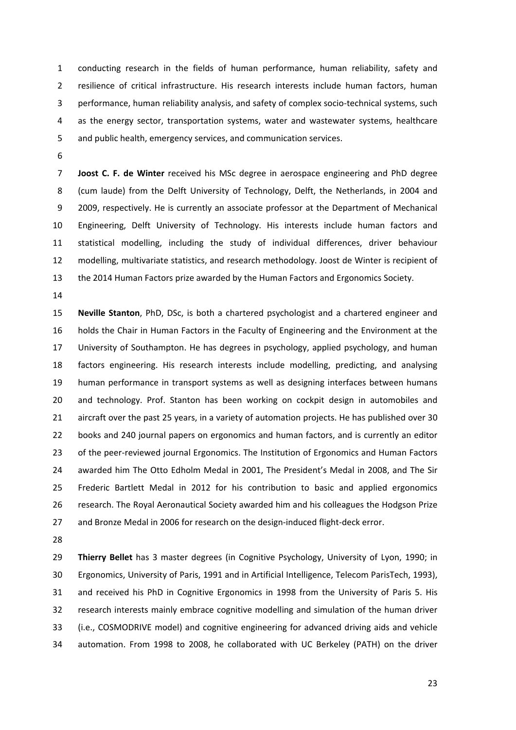conducting research in the fields of human performance, human reliability, safety and resilience of critical infrastructure. His research interests include human factors, human 3 performance, human reliability analysis, and safety of complex socio-technical systems, such as the energy sector, transportation systems, water and wastewater systems, healthcare and public health, emergency services, and communication services.

 **Joost C. F. de Winter** received his MSc degree in aerospace engineering and PhD degree (cum laude) from the Delft University of Technology, Delft, the Netherlands, in 2004 and 2009, respectively. He is currently an associate professor at the Department of Mechanical Engineering, Delft University of Technology. His interests include human factors and statistical modelling, including the study of individual differences, driver behaviour modelling, multivariate statistics, and research methodology. Joost de Winter is recipient of the 2014 Human Factors prize awarded by the Human Factors and Ergonomics Society.

 **Neville Stanton**, PhD, DSc, is both a chartered psychologist and a chartered engineer and holds the Chair in Human Factors in the Faculty of Engineering and the Environment at the University of Southampton. He has degrees in psychology, applied psychology, and human factors engineering. His research interests include modelling, predicting, and analysing human performance in transport systems as well as designing interfaces between humans 20 and technology. Prof. Stanton has been working on cockpit design in automobiles and aircraft over the past 25 years, in a variety of automation projects. He has published over 30 books and 240 journal papers on ergonomics and human factors, and is currently an editor 23 of the peer-reviewed journal Ergonomics. The Institution of Ergonomics and Human Factors 24 awarded him The Otto Edholm Medal in 2001, The President's Medal in 2008, and The Sir Frederic Bartlett Medal in 2012 for his contribution to basic and applied ergonomics research. The Royal Aeronautical Society awarded him and his colleagues the Hodgson Prize 27 and Bronze Medal in 2006 for research on the design-induced flight-deck error.

 **Thierry Bellet** has 3 master degrees (in Cognitive Psychology, University of Lyon, 1990; in Ergonomics, University of Paris, 1991 and in Artificial Intelligence, Telecom ParisTech, 1993), and received his PhD in Cognitive Ergonomics in 1998 from the University of Paris 5. His research interests mainly embrace cognitive modelling and simulation of the human driver (i.e., COSMODRIVE model) and cognitive engineering for advanced driving aids and vehicle automation. From 1998 to 2008, he collaborated with UC Berkeley (PATH) on the driver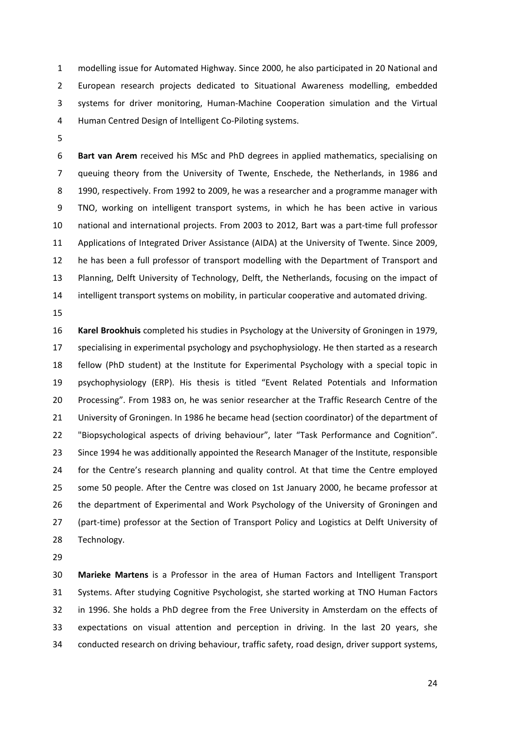modelling issue for Automated Highway. Since 2000, he also participated in 20 National and European research projects dedicated to Situational Awareness modelling, embedded 3 systems for driver monitoring, Human-Machine Cooperation simulation and the Virtual 4 Human Centred Design of Intelligent Co-Piloting systems.

 **Bart van Arem** received his MSc and PhD degrees in applied mathematics, specialising on queuing theory from the University of Twente, Enschede, the Netherlands, in 1986 and 1990, respectively. From 1992 to 2009, he was a researcher and a programme manager with TNO, working on intelligent transport systems, in which he has been active in various 10 national and international projects. From 2003 to 2012, Bart was a part-time full professor Applications of Integrated Driver Assistance (AIDA) at the University of Twente. Since 2009, he has been a full professor of transport modelling with the Department of Transport and Planning, Delft University of Technology, Delft, the Netherlands, focusing on the impact of intelligent transport systems on mobility, in particular cooperative and automated driving.

 **Karel Brookhuis** completed his studies in Psychology at the University of Groningen in 1979, specialising in experimental psychology and psychophysiology. He then started as a research fellow (PhD student) at the Institute for Experimental Psychology with a special topic in 19 psychophysiology (ERP). His thesis is titled "Event Related Potentials and Information 20 Processing". From 1983 on, he was senior researcher at the Traffic Research Centre of the 21 University of Groningen. In 1986 he became head (section coordinator) of the department of 22 "Biopsychological aspects of driving behaviour", later "Task Performance and Cognition". Since 1994 he was additionally appointed the Research Manager of the Institute, responsible for the Centreís research planning and quality control. At that time the Centre employed some 50 people. After the Centre was closed on 1st January 2000, he became professor at 26 the department of Experimental and Work Psychology of the University of Groningen and 27 (part-time) professor at the Section of Transport Policy and Logistics at Delft University of Technology.

 **Marieke Martens** is a Professor in the area of Human Factors and Intelligent Transport Systems. After studying Cognitive Psychologist, she started working at TNO Human Factors in 1996. She holds a PhD degree from the Free University in Amsterdam on the effects of expectations on visual attention and perception in driving. In the last 20 years, she conducted research on driving behaviour, traffic safety, road design, driver support systems,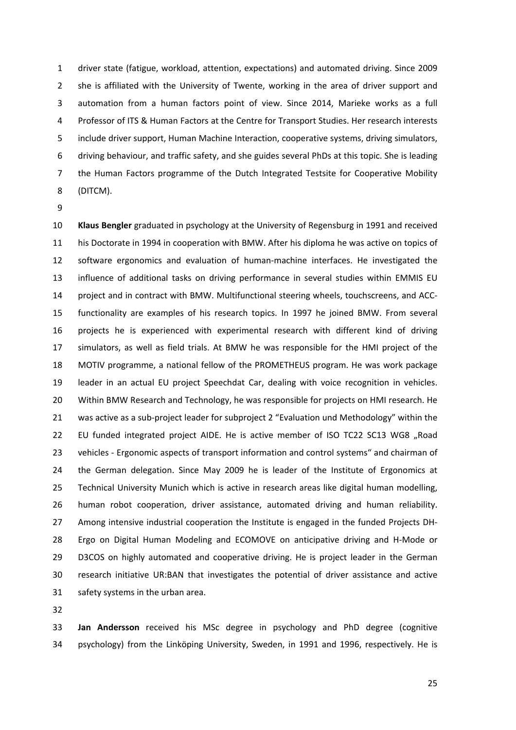driver state (fatigue, workload, attention, expectations) and automated driving. Since 2009 she is affiliated with the University of Twente, working in the area of driver support and automation from a human factors point of view. Since 2014, Marieke works as a full Professor of ITS & Human Factors at the Centre for Transport Studies. Her research interests include driver support, Human Machine Interaction, cooperative systems, driving simulators, driving behaviour, and traffic safety, and she guides several PhDs at this topic. She is leading the Human Factors programme of the Dutch Integrated Testsite for Cooperative Mobility (DITCM).

 **Klaus Bengler** graduated in psychology at the University of Regensburg in 1991 and received his Doctorate in 1994 in cooperation with BMW. After his diploma he was active on topics of 12 software ergonomics and evaluation of human-machine interfaces. He investigated the influence of additional tasks on driving performance in several studies within EMMIS EU 14 project and in contract with BMW. Multifunctional steering wheels, touchscreens, and ACC- functionality are examples of his research topics. In 1997 he joined BMW. From several projects he is experienced with experimental research with different kind of driving simulators, as well as field trials. At BMW he was responsible for the HMI project of the MOTIV programme, a national fellow of the PROMETHEUS program. He was work package leader in an actual EU project Speechdat Car, dealing with voice recognition in vehicles. Within BMW Research and Technology, he was responsible for projects on HMI research. He 21 was active as a sub-project leader for subproject 2 "Evaluation und Methodology" within the 22 EU funded integrated project AIDE. He is active member of ISO TC22 SC13 WG8 "Road 23 vehicles - Ergonomic aspects of transport information and control systems" and chairman of the German delegation. Since May 2009 he is leader of the Institute of Ergonomics at 25 Technical University Munich which is active in research areas like digital human modelling, human robot cooperation, driver assistance, automated driving and human reliability. 27 Among intensive industrial cooperation the Institute is engaged in the funded Projects DH-28 Ergo on Digital Human Modeling and ECOMOVE on anticipative driving and H-Mode or D3COS on highly automated and cooperative driving. He is project leader in the German research initiative UR:BAN that investigates the potential of driver assistance and active safety systems in the urban area.

 **Jan Andersson** received his MSc degree in psychology and PhD degree (cognitive 34 psychology) from the Linköping University, Sweden, in 1991 and 1996, respectively. He is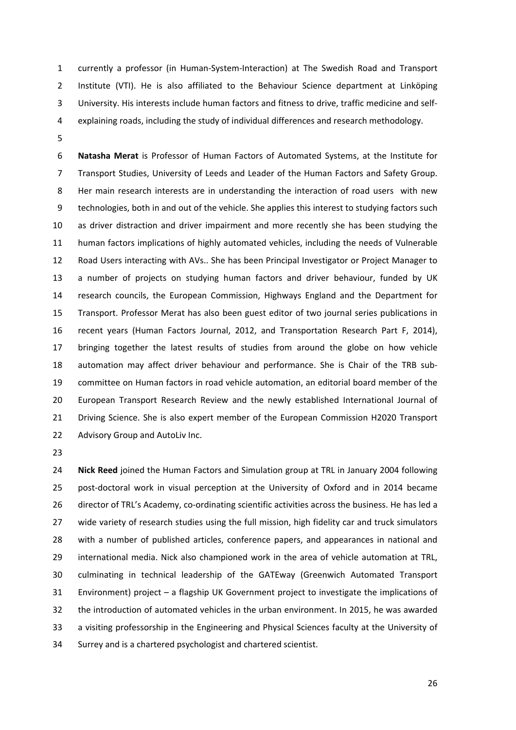1 currently a professor (in Human-System-Interaction) at The Swedish Road and Transport 2 Institute (VTI). He is also affiliated to the Behaviour Science department at Linköping 3 University. His interests include human factors and fitness to drive, traffic medicine and self-explaining roads, including the study of individual differences and research methodology.

 **Natasha Merat** is Professor of Human Factors of Automated Systems, at the Institute for Transport Studies, University of Leeds and Leader of the Human Factors and Safety Group. Her main research interests are in understanding the interaction of road users with new technologies, both in and out of the vehicle. She applies this interest to studying factors such as driver distraction and driver impairment and more recently she has been studying the human factors implications of highly automated vehicles, including the needs of Vulnerable Road Users interacting with AVs.. She has been Principal Investigator or Project Manager to a number of projects on studying human factors and driver behaviour, funded by UK research councils, the European Commission, Highways England and the Department for Transport. Professor Merat has also been guest editor of two journal series publications in recent years (Human Factors Journal, 2012, and Transportation Research Part F, 2014), bringing together the latest results of studies from around the globe on how vehicle 18 automation may affect driver behaviour and performance. She is Chair of the TRB sub- committee on Human factors in road vehicle automation, an editorial board member of the European Transport Research Review and the newly established International Journal of Driving Science. She is also expert member of the European Commission H2020 Transport Advisory Group and AutoLiv Inc.

 **Nick Reed** joined the Human Factors and Simulation group at TRL in January 2004 following 25 post-doctoral work in visual perception at the University of Oxford and in 2014 became 26 director of TRL's Academy, co-ordinating scientific activities across the business. He has led a wide variety of research studies using the full mission, high fidelity car and truck simulators with a number of published articles, conference papers, and appearances in national and international media. Nick also championed work in the area of vehicle automation at TRL, culminating in technical leadership of the GATEway (Greenwich Automated Transport 31 Environment) project – a flagship UK Government project to investigate the implications of the introduction of automated vehicles in the urban environment. In 2015, he was awarded a visiting professorship in the Engineering and Physical Sciences faculty at the University of Surrey and is a chartered psychologist and chartered scientist.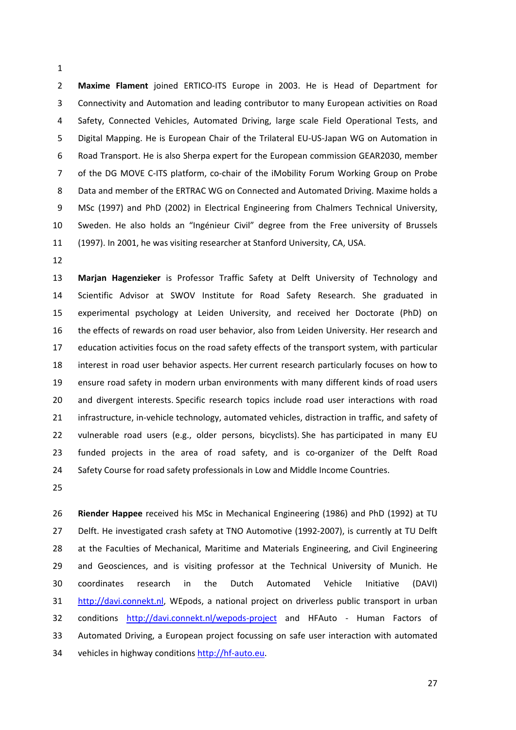**Maxime Flament** joined ERTICO-ITS Europe in 2003. He is Head of Department for Connectivity and Automation and leading contributor to many European activities on Road Safety, Connected Vehicles, Automated Driving, large scale Field Operational Tests, and 5 Digital Mapping. He is European Chair of the Trilateral EU-US-Japan WG on Automation in Road Transport. He is also Sherpa expert for the European commission GEAR2030, member 7 of the DG MOVE C-ITS platform, co-chair of the iMobility Forum Working Group on Probe Data and member of the ERTRAC WG on Connected and Automated Driving. Maxime holds a MSc (1997) and PhD (2002) in Electrical Engineering from Chalmers Technical University, 10 Sweden. He also holds an "Ingénieur Civil" degree from the Free university of Brussels (1997). In 2001, he was visiting researcher at Stanford University, CA, USA.

 **Marjan Hagenzieker** is Professor Traffic Safety at Delft University of Technology and Scientific Advisor at SWOV Institute for Road Safety Research. She graduated in experimental psychology at Leiden University, and received her Doctorate (PhD) on the effects of rewards on road user behavior, also from Leiden University. Her research and education activities focus on the road safety effects of the transport system, with particular interest in road user behavior aspects. Her current research particularly focuses on how to ensure road safety in modern urban environments with many different kinds of road users 20 and divergent interests. Specific research topics include road user interactions with road 21 infrastructure, in-vehicle technology, automated vehicles, distraction in traffic, and safety of vulnerable road users (e.g., older persons, bicyclists). She has participated in many EU 23 funded projects in the area of road safety, and is co-organizer of the Delft Road Safety Course for road safety professionals in Low and Middle Income Countries.

 **Riender Happee** received his MSc in Mechanical Engineering (1986) and PhD (1992) at TU 27 Delft. He investigated crash safety at TNO Automotive (1992-2007), is currently at TU Delft at the Faculties of Mechanical, Maritime and Materials Engineering, and Civil Engineering and Geosciences, and is visiting professor at the Technical University of Munich. He coordinates research in the Dutch Automated Vehicle Initiative (DAVI) http://davi.connekt.nl, WEpods, a national project on driverless public transport in urban 32 conditions http://davi.connekt.nl/wepods-project and HFAuto - Human Factors of Automated Driving, a European project focussing on safe user interaction with automated 34 vehicles in highway conditions http://hf-auto.eu.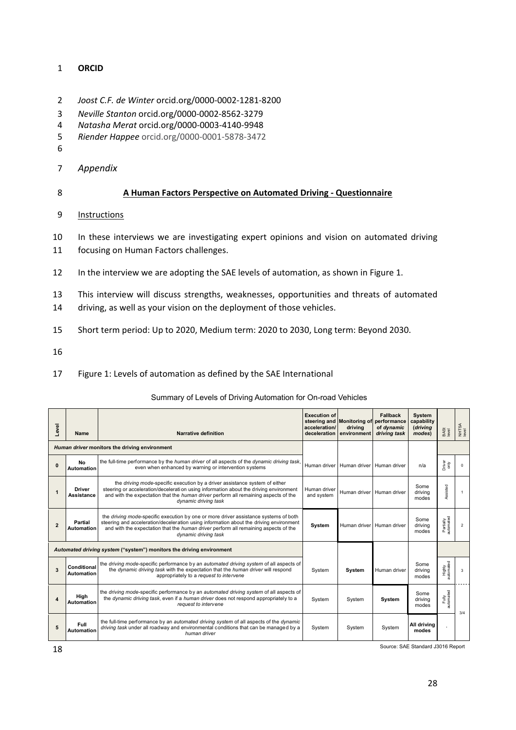# 1 **ORCID**

- 2 *Joost C.F. de Winter orcid.org/0000-0002-1281-8200*
- 3 Neville Stanton orcid.org/0000-0002-8562-3279
- 4 *Natasha Merat* orcid.org/0000-0003-4140-9948
- 5 Riender *Happee* orcid.org/0000-0001-5878-3472
- 6
- 7 *Appendix*

# 8 **A A Human Factors Perspective on Automated Driving - Questionnaire**

## 9 Instructions

- 10 In these interviews we are investigating expert opinions and vision on automated driving
- 11 focusing on Human Factors challenges.
- 12 In the interview we are adopting the SAE levels of automation, as shown in Figure 1.
- 13 This interview will discuss strengths, weaknesses, opportunities and threats of automated
- 14 driving, as well as your vision on the deployment of those vehicles.
- 15 Short term period: Up to 2020, Medium term: 2020 to 2030, Long term: Beyond 2030.
- 16

## 17 Figure 1: Levels of automation as defined by the SAE International

## Summary of Levels of Driving Automation for On-road Vehicles

| Level                                         | <b>Name</b>                        | <b>Narrative definition</b>                                                                                                                                                                                                                                                                                 | <b>Execution of</b><br>acceleration/<br>deceleration | steering and Monitoring of performance<br>drivina<br>environment | <b>Fallback</b><br>of dynamic<br>driving task | <b>System</b><br>capability<br>(drivina<br>modes) | BASt<br>level          | NHTSA<br>level |  |  |
|-----------------------------------------------|------------------------------------|-------------------------------------------------------------------------------------------------------------------------------------------------------------------------------------------------------------------------------------------------------------------------------------------------------------|------------------------------------------------------|------------------------------------------------------------------|-----------------------------------------------|---------------------------------------------------|------------------------|----------------|--|--|
| Human driver monitors the driving environment |                                    |                                                                                                                                                                                                                                                                                                             |                                                      |                                                                  |                                               |                                                   |                        |                |  |  |
| $\Omega$                                      | <b>No</b><br><b>Automation</b>     | the full-time performance by the human driver of all aspects of the dynamic driving task,<br>even when enhanced by warning or intervention systems                                                                                                                                                          | Human driver                                         | Human driver Human driver                                        |                                               | n/a                                               | Driver<br>only         | $\mathsf 0$    |  |  |
|                                               | <b>Driver</b><br><b>Assistance</b> | the <i>driving mode</i> -specific execution by a driver assistance system of either<br>steering or acceleration/deceleration using information about the driving environment<br>and with the expectation that the <i>human driver</i> perform all remaining aspects of the<br>dynamic driving task          | Human driver<br>and system                           |                                                                  | Human driver Human driver                     | Some<br>driving<br>modes                          | Assisted               | -1             |  |  |
| $\overline{2}$                                | Partial<br>Automation              | the <i>driving mode-specific execution by one or more driver assistance systems of both</i><br>steering and acceleration/deceleration using information about the driving environment<br>and with the expectation that the <i>human driver</i> perform all remaining aspects of the<br>dynamic driving task | System                                               | Human driver                                                     | Human driver                                  | Some<br>driving<br>modes                          | Partially<br>automated | $\overline{2}$ |  |  |
|                                               |                                    | Automated driving system ("system") monitors the driving environment                                                                                                                                                                                                                                        |                                                      |                                                                  |                                               |                                                   |                        |                |  |  |
| 3                                             | Conditional<br>Automation          | the driving mode-specific performance by an automated driving system of all aspects of<br>the dynamic driving task with the expectation that the human driver will respond<br>appropriately to a request to intervene                                                                                       | System                                               | System                                                           | Human driver                                  | Some<br>driving<br>modes                          | Highly<br>automated    | 3              |  |  |
| $\overline{\mathbf{A}}$                       | High<br><b>Automation</b>          | the driving mode-specific performance by an automated driving system of all aspects of<br>the dynamic driving task, even if a human driver does not respond appropriately to a<br>request to intervene                                                                                                      | System                                               | System                                                           | System                                        | Some<br>driving<br>modes                          | Fully<br>automated     | 3/4            |  |  |
| 5                                             | Full<br><b>Automation</b>          | the full-time performance by an automated driving system of all aspects of the dynamic<br>driving task under all roadway and environmental conditions that can be managed by a<br>human driver                                                                                                              | System                                               | System                                                           | System                                        | All driving<br>modes                              |                        |                |  |  |
| 18                                            | Source: SAE Standard J3016 Report  |                                                                                                                                                                                                                                                                                                             |                                                      |                                                                  |                                               |                                                   |                        |                |  |  |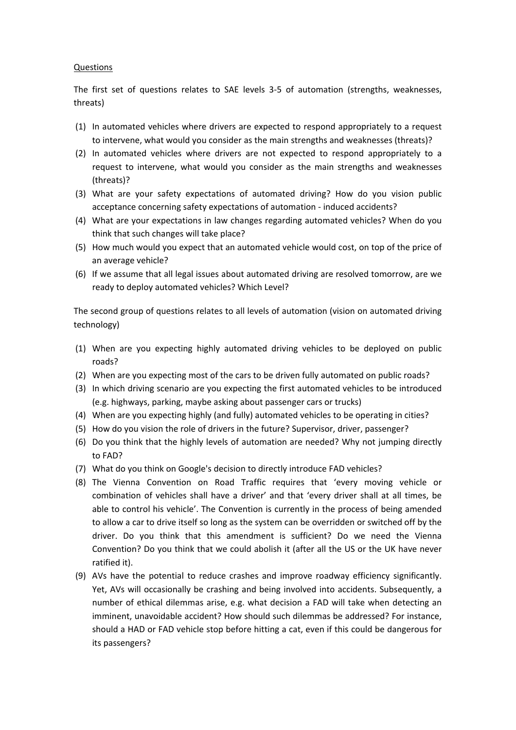## Questions

The first set of questions relates to SAE levels 3-5 of automation (strengths, weaknesses, threats)

- (1) In automated vehicles where drivers are expected to respond appropriately to a request to intervene, what would you consider as the main strengths and weaknesses (threats)?
- (2) In automated vehicles where drivers are not expected to respond appropriately to a request to intervene, what would you consider as the main strengths and weaknesses (threats)?
- (3) What are your safety expectations of automated driving? How do you vision public acceptance concerning safety expectations of automation - induced accidents?
- (4) What are your expectations in law changes regarding automated vehicles? When do you think that such changes will take place?
- (5) How much would you expect that an automated vehicle would cost, on top of the price of an average vehicle?
- (6) If we assume that all legal issues about automated driving are resolved tomorrow, are we ready to deploy automated vehicles? Which Level?

The second group of questions relates to all levels of automation (vision on automated driving technology)

- (1) When are you expecting highly automated driving vehicles to be deployed on public roads?
- (2) When are you expecting most of the cars to be driven fully automated on public roads?
- (3) In which driving scenario are you expecting the first automated vehicles to be introduced (e.g. highways, parking, maybe asking about passenger cars or trucks)
- (4) When are you expecting highly (and fully) automated vehicles to be operating in cities?
- (5) How do you vision the role of drivers in the future? Supervisor, driver, passenger?
- (6) Do you think that the highly levels of automation are needed? Why not jumping directly to FAD?
- (7) What do you think on Google's decision to directly introduce FAD vehicles?
- (8) The Vienna Convention on Road Traffic requires that ëevery moving vehicle or combination of vehicles shall have a driver' and that 'every driver shall at all times, be able to control his vehicle'. The Convention is currently in the process of being amended to allow a car to drive itself so long as the system can be overridden or switched off by the driver. Do you think that this amendment is sufficient? Do we need the Vienna Convention? Do you think that we could abolish it (after all the US or the UK have never ratified it).
- (9) AVs have the potential to reduce crashes and improve roadway efficiency significantly. Yet, AVs will occasionally be crashing and being involved into accidents. Subsequently, a number of ethical dilemmas arise, e.g. what decision a FAD will take when detecting an imminent, unavoidable accident? How should such dilemmas be addressed? For instance, should a HAD or FAD vehicle stop before hitting a cat, even if this could be dangerous for its passengers?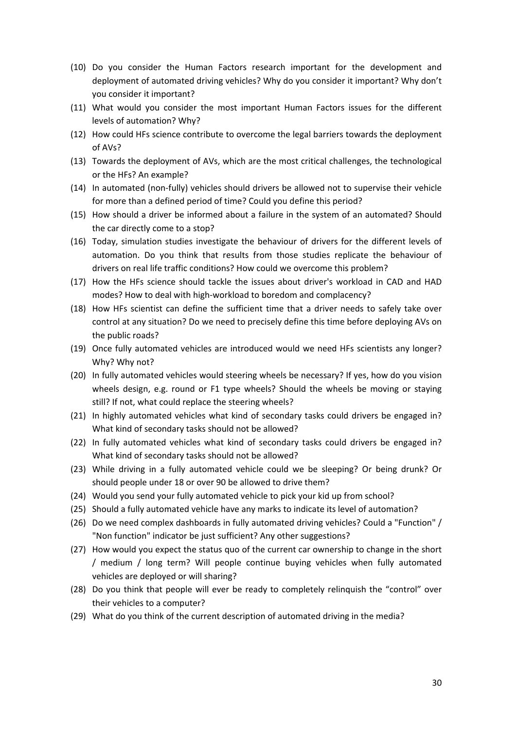- (10) Do you consider the Human Factors research important for the development and deployment of automated driving vehicles? Why do you consider it important? Why don't you consider it important?
- (11) What would you consider the most important Human Factors issues for the different levels of automation? Why?
- (12) How could HFs science contribute to overcome the legal barriers towards the deployment of AVs?
- (13) Towards the deployment of AVs, which are the most critical challenges, the technological or the HFs? An example?
- (14) In automated (non-fully) vehicles should drivers be allowed not to supervise their vehicle for more than a defined period of time? Could you define this period?
- (15) How should a driver be informed about a failure in the system of an automated? Should the car directly come to a stop?
- (16) Today, simulation studies investigate the behaviour of drivers for the different levels of automation. Do you think that results from those studies replicate the behaviour of drivers on real life traffic conditions? How could we overcome this problem?
- (17) How the HFs science should tackle the issues about driver's workload in CAD and HAD modes? How to deal with high-workload to boredom and complacency?
- (18) How HFs scientist can define the sufficient time that a driver needs to safely take over control at any situation? Do we need to precisely define this time before deploying AVs on the public roads?
- (19) Once fully automated vehicles are introduced would we need HFs scientists any longer? Why? Why not?
- (20) In fully automated vehicles would steering wheels be necessary? If yes, how do you vision wheels design, e.g. round or F1 type wheels? Should the wheels be moving or staying still? If not, what could replace the steering wheels?
- (21) In highly automated vehicles what kind of secondary tasks could drivers be engaged in? What kind of secondary tasks should not be allowed?
- (22) In fully automated vehicles what kind of secondary tasks could drivers be engaged in? What kind of secondary tasks should not be allowed?
- (23) While driving in a fully automated vehicle could we be sleeping? Or being drunk? Or should people under 18 or over 90 be allowed to drive them?
- (24) Would you send your fully automated vehicle to pick your kid up from school?
- (25) Should a fully automated vehicle have any marks to indicate its level of automation?
- (26) Do we need complex dashboards in fully automated driving vehicles? Could a "Function" / "Non function" indicator be just sufficient? Any other suggestions?
- (27) How would you expect the status quo of the current car ownership to change in the short / medium / long term? Will people continue buying vehicles when fully automated vehicles are deployed or will sharing?
- (28) Do you think that people will ever be ready to completely relinquish the "control" over their vehicles to a computer?
- (29) What do you think of the current description of automated driving in the media?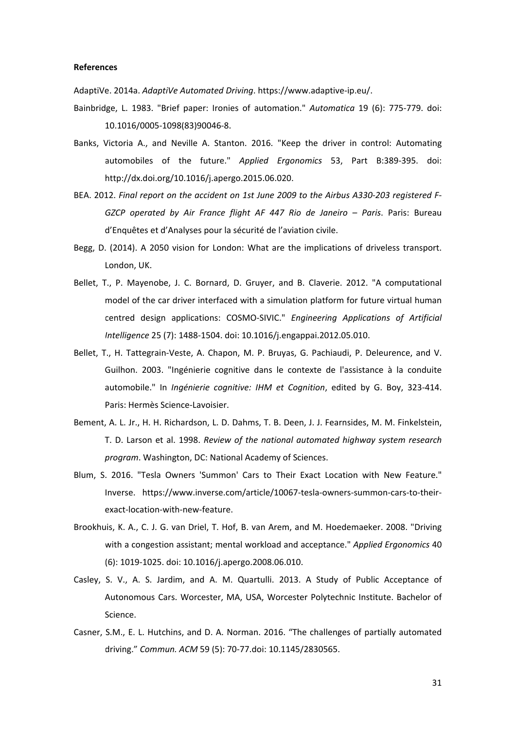#### **References**

AdaptiVe. 2014a. *AdaptiVe Automated Driving*. https://www.adaptive-ip.eu/.

- Bainbridge, L. 1983. "Brief paper: Ironies of [automation."](https://www.researchgate.net/publication/313042346_Ironies_of_Automation?el=1_x_8&enrichId=rgreq-54f8c9adb3c7f2795537bf218eb70de0-XXX&enrichSource=Y292ZXJQYWdlOzMxMzM2NzY3OTtBUzo0NTg3MDMwNzQ3OTU1MjFAMTQ4NjM3NDc0MzY4MQ==) Automatica 19 (6): 775-779. doi: 10.1016/0005-[1098\(83\)90046](https://www.researchgate.net/publication/313042346_Ironies_of_Automation?el=1_x_8&enrichId=rgreq-54f8c9adb3c7f2795537bf218eb70de0-XXX&enrichSource=Y292ZXJQYWdlOzMxMzM2NzY3OTtBUzo0NTg3MDMwNzQ3OTU1MjFAMTQ4NjM3NDc0MzY4MQ==)-8.
- Banks, Victoria A., and Neville A. Stanton. 2016. "Keep the driver in control: [Automating](https://www.researchgate.net/publication/279753685_Keep_the_driver_in_control_Automating_automobiles_of_the_future?el=1_x_8&enrichId=rgreq-54f8c9adb3c7f2795537bf218eb70de0-XXX&enrichSource=Y292ZXJQYWdlOzMxMzM2NzY3OTtBUzo0NTg3MDMwNzQ3OTU1MjFAMTQ4NjM3NDc0MzY4MQ==) [automobiles](https://www.researchgate.net/publication/279753685_Keep_the_driver_in_control_Automating_automobiles_of_the_future?el=1_x_8&enrichId=rgreq-54f8c9adb3c7f2795537bf218eb70de0-XXX&enrichSource=Y292ZXJQYWdlOzMxMzM2NzY3OTtBUzo0NTg3MDMwNzQ3OTU1MjFAMTQ4NjM3NDc0MzY4MQ==) of the future." Applied *Ergonomics* 53, Part B:389-395. doi: [http://dx.doi.org/10.1016/j.apergo.2015.06.020.](https://www.researchgate.net/publication/279753685_Keep_the_driver_in_control_Automating_automobiles_of_the_future?el=1_x_8&enrichId=rgreq-54f8c9adb3c7f2795537bf218eb70de0-XXX&enrichSource=Y292ZXJQYWdlOzMxMzM2NzY3OTtBUzo0NTg3MDMwNzQ3OTU1MjFAMTQ4NjM3NDc0MzY4MQ==)
- BEA. 2012. *Final report on the accident on 1st June 2009 to the Airbus A330ど203 registered Fど GZCP operated by Air France flight AF 447 Rio de Janeiro ñ Paris*. Paris: Bureau d'Enquêtes et d'Analyses pour la sécurité de l'aviation civile.
- Begg, D. (2014). A 2050 vision for London: What are the implications of driveless transport. London, UK.
- Bellet, T., P. Mayenobe, J. C. Bornard, D. Gruyer, and B. Claverie. 2012. "A [computational](https://www.researchgate.net/publication/281660194_A_computational_model_of_the_car_driver_interfaced_with_a_simulation_platform_for_future_Virtual_Human_Centred_Design_applications_COSMO-SIVIC?el=1_x_8&enrichId=rgreq-54f8c9adb3c7f2795537bf218eb70de0-XXX&enrichSource=Y292ZXJQYWdlOzMxMzM2NzY3OTtBUzo0NTg3MDMwNzQ3OTU1MjFAMTQ4NjM3NDc0MzY4MQ==) model of the car driver interfaced with a [simulation](https://www.researchgate.net/publication/281660194_A_computational_model_of_the_car_driver_interfaced_with_a_simulation_platform_for_future_Virtual_Human_Centred_Design_applications_COSMO-SIVIC?el=1_x_8&enrichId=rgreq-54f8c9adb3c7f2795537bf218eb70de0-XXX&enrichSource=Y292ZXJQYWdlOzMxMzM2NzY3OTtBUzo0NTg3MDMwNzQ3OTU1MjFAMTQ4NjM3NDc0MzY4MQ==) platform for future virtual human centred design [applications:](https://www.researchgate.net/publication/281660194_A_computational_model_of_the_car_driver_interfaced_with_a_simulation_platform_for_future_Virtual_Human_Centred_Design_applications_COSMO-SIVIC?el=1_x_8&enrichId=rgreq-54f8c9adb3c7f2795537bf218eb70de0-XXX&enrichSource=Y292ZXJQYWdlOzMxMzM2NzY3OTtBUzo0NTg3MDMwNzQ3OTU1MjFAMTQ4NjM3NDc0MzY4MQ==) COSMO-SIVIC." *Engineering Applications of Artificial Intelligence* 25 (7): 1488-1504. doi: [10.1016/j.engappai.2012.05.010.](https://www.researchgate.net/publication/281660194_A_computational_model_of_the_car_driver_interfaced_with_a_simulation_platform_for_future_Virtual_Human_Centred_Design_applications_COSMO-SIVIC?el=1_x_8&enrichId=rgreq-54f8c9adb3c7f2795537bf218eb70de0-XXX&enrichSource=Y292ZXJQYWdlOzMxMzM2NzY3OTtBUzo0NTg3MDMwNzQ3OTU1MjFAMTQ4NjM3NDc0MzY4MQ==)
- Bellet, T., H. Tattegrain-Veste, A. Chapon, M. P. Bruyas, G. Pachiaudi, P. Deleurence, and V. Guilhon. 2003. "Ingénierie cognitive dans le contexte de l'assistance à la conduite automobile." In *Ingénierie cognitive: IHM et Cognition*, edited by G. Boy, 323-414. Paris: Hermès Science-Lavoisier.
- Bement, A. L. Jr., H. H. Richardson, L. D. Dahms, T. B. Deen, J. J. Fearnsides, M. M. Finkelstein, T. D. Larson et al. 1998. *Review of the national automated highway system research program*. Washington, DC: National Academy of Sciences.
- Blum, S. 2016. "Tesla Owners 'Summon' Cars to Their Exact Location with New Feature." Inverse. https://www.inverse.com/article/10067-tesla-owners-summon-cars-to-theirexact-location-with-new-feature.
- Brookhuis, K. A., C. J. G. van Driel, T. Hof, B. van Arem, and M. [Hoedemaeker.](https://www.researchgate.net/publication/23289630_Driving_with_a_Congestion_Assistant_mental_workload_and_acceptance?el=1_x_8&enrichId=rgreq-54f8c9adb3c7f2795537bf218eb70de0-XXX&enrichSource=Y292ZXJQYWdlOzMxMzM2NzY3OTtBUzo0NTg3MDMwNzQ3OTU1MjFAMTQ4NjM3NDc0MzY4MQ==) 2008. "Driving with a congestion assistant; mental workload and [acceptance."](https://www.researchgate.net/publication/23289630_Driving_with_a_Congestion_Assistant_mental_workload_and_acceptance?el=1_x_8&enrichId=rgreq-54f8c9adb3c7f2795537bf218eb70de0-XXX&enrichSource=Y292ZXJQYWdlOzMxMzM2NzY3OTtBUzo0NTg3MDMwNzQ3OTU1MjFAMTQ4NjM3NDc0MzY4MQ==) *Applied Ergonomics* 40 (6): 1019-1025. doi: [10.1016/j.apergo.2008.06.010.](https://www.researchgate.net/publication/23289630_Driving_with_a_Congestion_Assistant_mental_workload_and_acceptance?el=1_x_8&enrichId=rgreq-54f8c9adb3c7f2795537bf218eb70de0-XXX&enrichSource=Y292ZXJQYWdlOzMxMzM2NzY3OTtBUzo0NTg3MDMwNzQ3OTU1MjFAMTQ4NjM3NDc0MzY4MQ==)
- Casley, S. V., A. S. Jardim, and A. M. Quartulli. 2013. A Study of Public Acceptance of Autonomous Cars. Worcester, MA, USA, Worcester Polytechnic Institute. Bachelor of Science.
- Casner, S.M., E. L. Hutchins, and D. A. Norman. 2016. "The challenges of partially [automated](https://www.researchgate.net/publication/301676342_The_Challenges_of_Partially_Automated_Driving?el=1_x_8&enrichId=rgreq-54f8c9adb3c7f2795537bf218eb70de0-XXX&enrichSource=Y292ZXJQYWdlOzMxMzM2NzY3OTtBUzo0NTg3MDMwNzQ3OTU1MjFAMTQ4NjM3NDc0MzY4MQ==) driving." Commun. ACM 59 (5): 70-77.doi: [10.1145/2830565.](https://www.researchgate.net/publication/301676342_The_Challenges_of_Partially_Automated_Driving?el=1_x_8&enrichId=rgreq-54f8c9adb3c7f2795537bf218eb70de0-XXX&enrichSource=Y292ZXJQYWdlOzMxMzM2NzY3OTtBUzo0NTg3MDMwNzQ3OTU1MjFAMTQ4NjM3NDc0MzY4MQ==)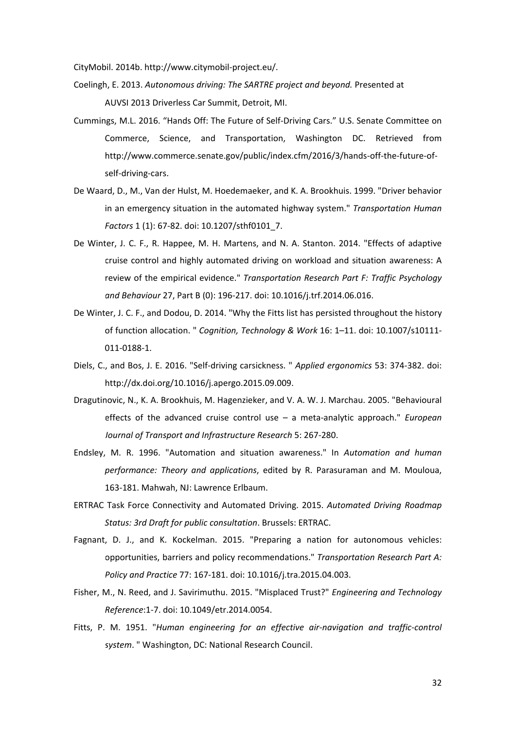CityMobil. 2014b. http://www.citymobil-project.eu/.

- Coelingh, E. 2013. *Autonomous driving: The SARTRE project and beyond.* Presented at AUVSI 2013 Driverless Car Summit, Detroit, MI.
- Cummings, M.L. 2016. "Hands Off: The Future of Self-Driving Cars." U.S. Senate Committee on Commerce, Science, and Transportation, Washington DC. Retrieved from http://www.commerce.senate.gov/public/index.cfm/2016/3/hands-off-the-future-ofself-driving-cars.
- De Waard, D., M., Van der Hulst, M. Hoedemaeker, and K. A. Brookhuis. 1999. "Driver behavior in an emergency situation in the automated highway system." *Transportation Human Factors* 1 (1): 67-82. doi: 10.1207/sthf0101\_7.
- De Winter, J. C. F., R. Happee, M. H. [Martens,](https://www.researchgate.net/publication/264900139_Effects_of_adaptive_cruise_control_and_highly_automated_driving_on_workload_and_situation_awareness_A_review_of_the_empirical_evidence?el=1_x_8&enrichId=rgreq-54f8c9adb3c7f2795537bf218eb70de0-XXX&enrichSource=Y292ZXJQYWdlOzMxMzM2NzY3OTtBUzo0NTg3MDMwNzQ3OTU1MjFAMTQ4NjM3NDc0MzY4MQ==) and N. A. Stanton. 2014. "Effects of adaptive cruise control and highly automated driving on workload and situation [awareness:](https://www.researchgate.net/publication/264900139_Effects_of_adaptive_cruise_control_and_highly_automated_driving_on_workload_and_situation_awareness_A_review_of_the_empirical_evidence?el=1_x_8&enrichId=rgreq-54f8c9adb3c7f2795537bf218eb70de0-XXX&enrichSource=Y292ZXJQYWdlOzMxMzM2NzY3OTtBUzo0NTg3MDMwNzQ3OTU1MjFAMTQ4NjM3NDc0MzY4MQ==) A review of the empirical evidence." *[Transportation](https://www.researchgate.net/publication/264900139_Effects_of_adaptive_cruise_control_and_highly_automated_driving_on_workload_and_situation_awareness_A_review_of_the_empirical_evidence?el=1_x_8&enrichId=rgreq-54f8c9adb3c7f2795537bf218eb70de0-XXX&enrichSource=Y292ZXJQYWdlOzMxMzM2NzY3OTtBUzo0NTg3MDMwNzQ3OTU1MjFAMTQ4NjM3NDc0MzY4MQ==) Research Part F: Traffic Psychology* and Behaviour 27, Part B (0): 196-217. doi: [10.1016/j.trf.2014.06.016.](https://www.researchgate.net/publication/264900139_Effects_of_adaptive_cruise_control_and_highly_automated_driving_on_workload_and_situation_awareness_A_review_of_the_empirical_evidence?el=1_x_8&enrichId=rgreq-54f8c9adb3c7f2795537bf218eb70de0-XXX&enrichSource=Y292ZXJQYWdlOzMxMzM2NzY3OTtBUzo0NTg3MDMwNzQ3OTU1MjFAMTQ4NjM3NDc0MzY4MQ==)
- De Winter, J. C. F., and Dodou, D. 2014. "Why the Fitts list has persisted throughout the history of function allocation. " *Cognition, Technology & Work* 16: 1–11. doi: 10.1007/s10111-011-0188-1.
- Diels, C., and Bos, J. E. 2016. "Self-driving carsickness. " *Applied ergonomics* 53: 374-382. doi: http://dx.doi.org/10.1016/j.apergo.2015.09.009.
- [Dragutinovic,](https://www.researchgate.net/publication/27350515_Behavioural_effects_of_advanced_cruise_control_use_-_A_meta-analytic_approach?el=1_x_8&enrichId=rgreq-54f8c9adb3c7f2795537bf218eb70de0-XXX&enrichSource=Y292ZXJQYWdlOzMxMzM2NzY3OTtBUzo0NTg3MDMwNzQ3OTU1MjFAMTQ4NjM3NDc0MzY4MQ==) N., K. A. Brookhuis, M. Hagenzieker, and V. A. W. J. Marchau. 2005. "Behavioural effects of the advanced cruise control use - a meta-analytic [approach."](https://www.researchgate.net/publication/27350515_Behavioural_effects_of_advanced_cruise_control_use_-_A_meta-analytic_approach?el=1_x_8&enrichId=rgreq-54f8c9adb3c7f2795537bf218eb70de0-XXX&enrichSource=Y292ZXJQYWdlOzMxMzM2NzY3OTtBUzo0NTg3MDMwNzQ3OTU1MjFAMTQ4NjM3NDc0MzY4MQ==) *European Journal of Transport and [Infrastructure](https://www.researchgate.net/publication/27350515_Behavioural_effects_of_advanced_cruise_control_use_-_A_meta-analytic_approach?el=1_x_8&enrichId=rgreq-54f8c9adb3c7f2795537bf218eb70de0-XXX&enrichSource=Y292ZXJQYWdlOzMxMzM2NzY3OTtBUzo0NTg3MDMwNzQ3OTU1MjFAMTQ4NjM3NDc0MzY4MQ==) Research 5: 267-280.*
- Endsley, M. R. 1996. "Automation and situation awareness." In *Automation and human performance: Theory and applications*, edited by R. Parasuraman and M. Mouloua, 163-181. Mahwah, NJ: Lawrence Erlbaum.
- ERTRAC Task Force Connectivity and Automated Driving. 2015. *Automated Driving Roadmap Status: 3rd Draft for public consultation*. Brussels: ERTRAC.
- Fagnant, D. J., and K. Kockelman. 2015. "Preparing a nation for [autonomous](https://www.researchgate.net/publication/277025982_Preparing_a_nation_for_autonomous_vehicles_Opportunities_barriers_and_policy_recommendations?el=1_x_8&enrichId=rgreq-54f8c9adb3c7f2795537bf218eb70de0-XXX&enrichSource=Y292ZXJQYWdlOzMxMzM2NzY3OTtBUzo0NTg3MDMwNzQ3OTU1MjFAMTQ4NjM3NDc0MzY4MQ==) vehicles: opportunities, barriers and policy [recommendations."](https://www.researchgate.net/publication/277025982_Preparing_a_nation_for_autonomous_vehicles_Opportunities_barriers_and_policy_recommendations?el=1_x_8&enrichId=rgreq-54f8c9adb3c7f2795537bf218eb70de0-XXX&enrichSource=Y292ZXJQYWdlOzMxMzM2NzY3OTtBUzo0NTg3MDMwNzQ3OTU1MjFAMTQ4NjM3NDc0MzY4MQ==) *Transportation Research Part A: Policy and Practice* 77: 167-181. doi: [10.1016/j.tra.2015.04.003.](https://www.researchgate.net/publication/277025982_Preparing_a_nation_for_autonomous_vehicles_Opportunities_barriers_and_policy_recommendations?el=1_x_8&enrichId=rgreq-54f8c9adb3c7f2795537bf218eb70de0-XXX&enrichSource=Y292ZXJQYWdlOzMxMzM2NzY3OTtBUzo0NTg3MDMwNzQ3OTU1MjFAMTQ4NjM3NDc0MzY4MQ==)
- Fisher, M., N. Reed, and J. Savirimuthu. 2015. "Misplaced Trust?" *Engineering and Technology Reference*:1ど7. doi: 10.1049/etr.2014.0054.
- Fitts, P. M. 1951. "Human [engineering](https://www.researchgate.net/publication/232594484_Human_Engineering_for_an_Effective_Air_Navigation_and_Traffic_Control_System?el=1_x_8&enrichId=rgreq-54f8c9adb3c7f2795537bf218eb70de0-XXX&enrichSource=Y292ZXJQYWdlOzMxMzM2NzY3OTtBUzo0NTg3MDMwNzQ3OTU1MjFAMTQ4NjM3NDc0MzY4MQ==) for an effective air-navigation and traffic-control *system*. " [Washington,](https://www.researchgate.net/publication/232594484_Human_Engineering_for_an_Effective_Air_Navigation_and_Traffic_Control_System?el=1_x_8&enrichId=rgreq-54f8c9adb3c7f2795537bf218eb70de0-XXX&enrichSource=Y292ZXJQYWdlOzMxMzM2NzY3OTtBUzo0NTg3MDMwNzQ3OTU1MjFAMTQ4NjM3NDc0MzY4MQ==) DC: National Research Council.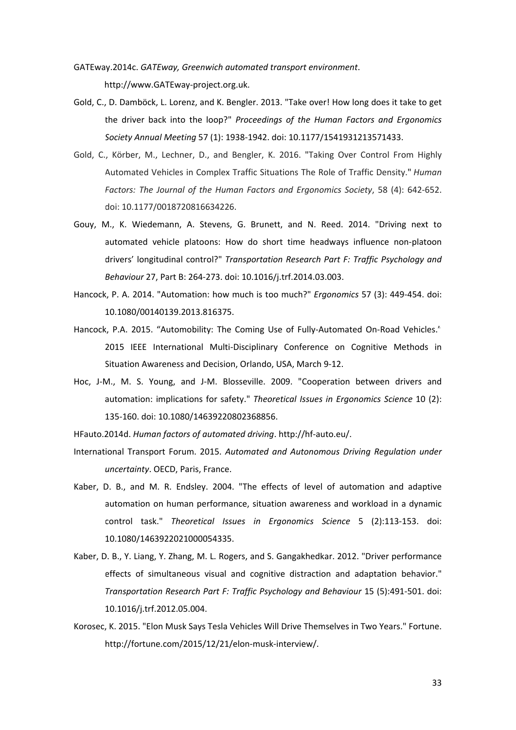GATEway.2014c. *GATEway, Greenwich automated transport environment*. http://www.GATEway-project.org.uk.

- Gold, C., D. Damböck, L. Lorenz, and K. Bengler. 2013. "Take over! How long does it take to get the driver back into the loop?" *[Proceedings](https://www.researchgate.net/publication/273297124_Take_over_How_long_does_it_take_to_get_the_driver_back_into_the_loop?el=1_x_8&enrichId=rgreq-54f8c9adb3c7f2795537bf218eb70de0-XXX&enrichSource=Y292ZXJQYWdlOzMxMzM2NzY3OTtBUzo0NTg3MDMwNzQ3OTU1MjFAMTQ4NjM3NDc0MzY4MQ==) of the Human Factors and Ergonomics Society Annual Meeting* 57 (1): 1938ど1942. doi: [10.1177/1541931213571433.](https://www.researchgate.net/publication/273297124_Take_over_How_long_does_it_take_to_get_the_driver_back_into_the_loop?el=1_x_8&enrichId=rgreq-54f8c9adb3c7f2795537bf218eb70de0-XXX&enrichSource=Y292ZXJQYWdlOzMxMzM2NzY3OTtBUzo0NTg3MDMwNzQ3OTU1MjFAMTQ4NjM3NDc0MzY4MQ==)
- Gold, C., Körber, M., [Lechner,](https://www.researchgate.net/publication/298707707_Taking_Over_Control_From_Highly_Automated_Vehicles_in_Complex_Traffic_Situations_The_Role_of_Traffic_Density?el=1_x_8&enrichId=rgreq-54f8c9adb3c7f2795537bf218eb70de0-XXX&enrichSource=Y292ZXJQYWdlOzMxMzM2NzY3OTtBUzo0NTg3MDMwNzQ3OTU1MjFAMTQ4NjM3NDc0MzY4MQ==) D., and Bengler, K. 2016. "Taking Over Control From Highly [Automated](https://www.researchgate.net/publication/298707707_Taking_Over_Control_From_Highly_Automated_Vehicles_in_Complex_Traffic_Situations_The_Role_of_Traffic_Density?el=1_x_8&enrichId=rgreq-54f8c9adb3c7f2795537bf218eb70de0-XXX&enrichSource=Y292ZXJQYWdlOzMxMzM2NzY3OTtBUzo0NTg3MDMwNzQ3OTU1MjFAMTQ4NjM3NDc0MzY4MQ==) Vehicles in Complex Traffic Situations The Role of Traffic Density." *Human Factors: The Journal of the Human Factors and [Ergonomics](https://www.researchgate.net/publication/298707707_Taking_Over_Control_From_Highly_Automated_Vehicles_in_Complex_Traffic_Situations_The_Role_of_Traffic_Density?el=1_x_8&enrichId=rgreq-54f8c9adb3c7f2795537bf218eb70de0-XXX&enrichSource=Y292ZXJQYWdlOzMxMzM2NzY3OTtBUzo0NTg3MDMwNzQ3OTU1MjFAMTQ4NjM3NDc0MzY4MQ==) Society, 58 (4): 642-652.* doi: [10.1177/0018720816634226.](https://www.researchgate.net/publication/298707707_Taking_Over_Control_From_Highly_Automated_Vehicles_in_Complex_Traffic_Situations_The_Role_of_Traffic_Density?el=1_x_8&enrichId=rgreq-54f8c9adb3c7f2795537bf218eb70de0-XXX&enrichSource=Y292ZXJQYWdlOzMxMzM2NzY3OTtBUzo0NTg3MDMwNzQ3OTU1MjFAMTQ4NjM3NDc0MzY4MQ==)
- Gouy, M., K. [Wiedemann,](https://www.researchgate.net/publication/261954475_Driving_next_to_automated_vehicle_platoons_How_do_short_time_headways_influence_non-platoon_drivers) A. Stevens, G. Brunett, and N. Reed. 2014. "Driving next to [automated](https://www.researchgate.net/publication/261954475_Driving_next_to_automated_vehicle_platoons_How_do_short_time_headways_influence_non-platoon_drivers) vehicle platoons: How do short time headways influence non-platoon driversí longitudinal control?" *[Transportation](https://www.researchgate.net/publication/261954475_Driving_next_to_automated_vehicle_platoons_How_do_short_time_headways_influence_non-platoon_drivers) Research Part F: Traffic Psychology and Behaviour* 27, Part B: 264-273. doi: [10.1016/j.trf.2014.03.003.](https://www.researchgate.net/publication/261954475_Driving_next_to_automated_vehicle_platoons_How_do_short_time_headways_influence_non-platoon_drivers)
- Hancock, P. A. 2014. ["Automation:](https://www.researchgate.net/publication/256539545_Automation_How_much_is_too_much?el=1_x_8&enrichId=rgreq-54f8c9adb3c7f2795537bf218eb70de0-XXX&enrichSource=Y292ZXJQYWdlOzMxMzM2NzY3OTtBUzo0NTg3MDMwNzQ3OTU1MjFAMTQ4NjM3NDc0MzY4MQ==) how much is too much?" *Ergonomics* 57 (3): 449-454. doi: [10.1080/00140139.2013.816375.](https://www.researchgate.net/publication/256539545_Automation_How_much_is_too_much?el=1_x_8&enrichId=rgreq-54f8c9adb3c7f2795537bf218eb70de0-XXX&enrichSource=Y292ZXJQYWdlOzMxMzM2NzY3OTtBUzo0NTg3MDMwNzQ3OTU1MjFAMTQ4NjM3NDc0MzY4MQ==)
- Hancock, P.A. 2015. "Automobility: The Coming Use of Fully-Automated On-Road Vehicles." 2015 IEEE [International](https://www.researchgate.net/publication/308671837_Automobility_the_coming_use_of_fully-automated_on-road_vehicles?el=1_x_8&enrichId=rgreq-54f8c9adb3c7f2795537bf218eb70de0-XXX&enrichSource=Y292ZXJQYWdlOzMxMzM2NzY3OTtBUzo0NTg3MDMwNzQ3OTU1MjFAMTQ4NjM3NDc0MzY4MQ==) Multi-Disciplinary Conference on Cognitive Methods in Situation [Awareness](https://www.researchgate.net/publication/308671837_Automobility_the_coming_use_of_fully-automated_on-road_vehicles?el=1_x_8&enrichId=rgreq-54f8c9adb3c7f2795537bf218eb70de0-XXX&enrichSource=Y292ZXJQYWdlOzMxMzM2NzY3OTtBUzo0NTg3MDMwNzQ3OTU1MjFAMTQ4NjM3NDc0MzY4MQ==) and Decision, Orlando, USA, March 9-12.
- Hoc, J-M., M. S. Young, and J-M. Blosseville. 2009. "Cooperation between drivers and automation: implications for safety." *Theoretical Issues in Ergonomics Science* 10 (2): 135-160. doi: 10.1080/14639220802368856.

HFauto.2014d. *Human factors of automated driving*. http://hf-auto.eu/.

- International Transport Forum. 2015. *Automated and Autonomous Driving Regulation under uncertainty*. OECD, Paris, France.
- Kaber, D. B., and M. R. Endsley. 2004. "The effects of level of [automation](https://www.researchgate.net/publication/247511902_The_effects_of_level_of_automation_and_adaptive_automation_on_human_performance_situation_awareness_and_workload_in_a_dynamic_control_task?el=1_x_8&enrichId=rgreq-54f8c9adb3c7f2795537bf218eb70de0-XXX&enrichSource=Y292ZXJQYWdlOzMxMzM2NzY3OTtBUzo0NTg3MDMwNzQ3OTU1MjFAMTQ4NjM3NDc0MzY4MQ==) and adaptive automation on human [performance,](https://www.researchgate.net/publication/247511902_The_effects_of_level_of_automation_and_adaptive_automation_on_human_performance_situation_awareness_and_workload_in_a_dynamic_control_task?el=1_x_8&enrichId=rgreq-54f8c9adb3c7f2795537bf218eb70de0-XXX&enrichSource=Y292ZXJQYWdlOzMxMzM2NzY3OTtBUzo0NTg3MDMwNzQ3OTU1MjFAMTQ4NjM3NDc0MzY4MQ==) situation awareness and workload in a dynamic control task." *Theoretical Issues in [Ergonomics](https://www.researchgate.net/publication/247511902_The_effects_of_level_of_automation_and_adaptive_automation_on_human_performance_situation_awareness_and_workload_in_a_dynamic_control_task?el=1_x_8&enrichId=rgreq-54f8c9adb3c7f2795537bf218eb70de0-XXX&enrichSource=Y292ZXJQYWdlOzMxMzM2NzY3OTtBUzo0NTg3MDMwNzQ3OTU1MjFAMTQ4NjM3NDc0MzY4MQ==) Science* 5 (2):113-153. doi: [10.1080/1463922021000054335.](https://www.researchgate.net/publication/247511902_The_effects_of_level_of_automation_and_adaptive_automation_on_human_performance_situation_awareness_and_workload_in_a_dynamic_control_task?el=1_x_8&enrichId=rgreq-54f8c9adb3c7f2795537bf218eb70de0-XXX&enrichSource=Y292ZXJQYWdlOzMxMzM2NzY3OTtBUzo0NTg3MDMwNzQ3OTU1MjFAMTQ4NjM3NDc0MzY4MQ==)
- Kaber, D. B., Y. Liang, Y. Zhang, M. L. Rogers, and S. [Gangakhedkar.](https://www.researchgate.net/publication/257556652_Driver_performance_effects_of_simultaneous_visual_and_cognitive_distraction_and_adaptation_behavior?el=1_x_8&enrichId=rgreq-54f8c9adb3c7f2795537bf218eb70de0-XXX&enrichSource=Y292ZXJQYWdlOzMxMzM2NzY3OTtBUzo0NTg3MDMwNzQ3OTU1MjFAMTQ4NjM3NDc0MzY4MQ==) 2012. "Driver performance effects of [simultaneous](https://www.researchgate.net/publication/257556652_Driver_performance_effects_of_simultaneous_visual_and_cognitive_distraction_and_adaptation_behavior?el=1_x_8&enrichId=rgreq-54f8c9adb3c7f2795537bf218eb70de0-XXX&enrichSource=Y292ZXJQYWdlOzMxMzM2NzY3OTtBUzo0NTg3MDMwNzQ3OTU1MjFAMTQ4NjM3NDc0MzY4MQ==) visual and cognitive distraction and adaptation behavior." *[Transportation](https://www.researchgate.net/publication/257556652_Driver_performance_effects_of_simultaneous_visual_and_cognitive_distraction_and_adaptation_behavior?el=1_x_8&enrichId=rgreq-54f8c9adb3c7f2795537bf218eb70de0-XXX&enrichSource=Y292ZXJQYWdlOzMxMzM2NzY3OTtBUzo0NTg3MDMwNzQ3OTU1MjFAMTQ4NjM3NDc0MzY4MQ==) Research Part F: Traffic Psychology and Behaviour 15 (5):491-501. doi:* [10.1016/j.trf.2012.05.004.](https://www.researchgate.net/publication/257556652_Driver_performance_effects_of_simultaneous_visual_and_cognitive_distraction_and_adaptation_behavior?el=1_x_8&enrichId=rgreq-54f8c9adb3c7f2795537bf218eb70de0-XXX&enrichSource=Y292ZXJQYWdlOzMxMzM2NzY3OTtBUzo0NTg3MDMwNzQ3OTU1MjFAMTQ4NjM3NDc0MzY4MQ==)
- Korosec, K. 2015. "Elon Musk Says Tesla Vehicles Will Drive Themselves in Two Years." Fortune. http://fortune.com/2015/12/21/elon-musk-interview/.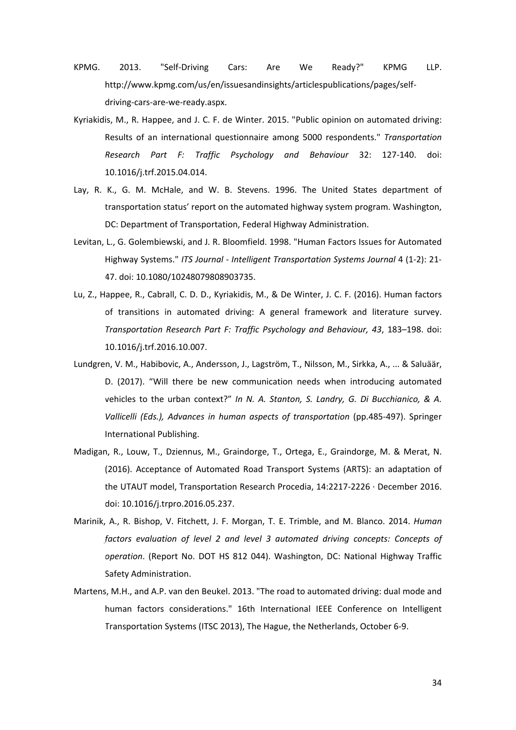- KPMG. 2013. "Self-Driving Cars: Are We Ready?" KPMG LLP. http://www.kpmg.com/us/en/issuesandinsights/articlespublications/pages/selfdriving-cars-are-we-ready.aspx.
- Kyriakidis, M., R. Happee, and J. C. F. de Winter. 2015. "Public opinion on [automated](https://www.researchgate.net/publication/278744106_Public_opinion_on_automated_driving_Results_of_an_international_questionnaire_among_5000_respondents?el=1_x_8&enrichId=rgreq-54f8c9adb3c7f2795537bf218eb70de0-XXX&enrichSource=Y292ZXJQYWdlOzMxMzM2NzY3OTtBUzo0NTg3MDMwNzQ3OTU1MjFAMTQ4NjM3NDc0MzY4MQ==) driving: Results of an international questionnaire among 5000 respondents." *[Transportation](https://www.researchgate.net/publication/278744106_Public_opinion_on_automated_driving_Results_of_an_international_questionnaire_among_5000_respondents?el=1_x_8&enrichId=rgreq-54f8c9adb3c7f2795537bf218eb70de0-XXX&enrichSource=Y292ZXJQYWdlOzMxMzM2NzY3OTtBUzo0NTg3MDMwNzQ3OTU1MjFAMTQ4NjM3NDc0MzY4MQ==) Research Part F: Traffic [Psychology](https://www.researchgate.net/publication/278744106_Public_opinion_on_automated_driving_Results_of_an_international_questionnaire_among_5000_respondents?el=1_x_8&enrichId=rgreq-54f8c9adb3c7f2795537bf218eb70de0-XXX&enrichSource=Y292ZXJQYWdlOzMxMzM2NzY3OTtBUzo0NTg3MDMwNzQ3OTU1MjFAMTQ4NjM3NDc0MzY4MQ==) and Behaviour* 32: 127-140. doi: [10.1016/j.trf.2015.04.014.](https://www.researchgate.net/publication/278744106_Public_opinion_on_automated_driving_Results_of_an_international_questionnaire_among_5000_respondents?el=1_x_8&enrichId=rgreq-54f8c9adb3c7f2795537bf218eb70de0-XXX&enrichSource=Y292ZXJQYWdlOzMxMzM2NzY3OTtBUzo0NTg3MDMwNzQ3OTU1MjFAMTQ4NjM3NDc0MzY4MQ==)
- Lay, R. K., G. M. McHale, and W. B. Stevens. 1996. The United States [department](https://www.researchgate.net/publication/265893190_The_United_States_Department_of_Transportation_Status) of [transportation](https://www.researchgate.net/publication/265893190_The_United_States_Department_of_Transportation_Status) statusí report on the automated highway system program. Washington, DC: Department of [Transportation,](https://www.researchgate.net/publication/265893190_The_United_States_Department_of_Transportation_Status) Federal Highway Administration.
- Levitan, L., G. [Golembiewski,](https://www.researchgate.net/publication/233075824_Human_Factors_Issues_for_Automated_Highway_Systems?el=1_x_8&enrichId=rgreq-54f8c9adb3c7f2795537bf218eb70de0-XXX&enrichSource=Y292ZXJQYWdlOzMxMzM2NzY3OTtBUzo0NTg3MDMwNzQ3OTU1MjFAMTQ4NjM3NDc0MzY4MQ==) and J. R. Bloomfield. 1998. "Human Factors Issues for Automated Highway Systems." *ITS Journal - Intelligent [Transportation](https://www.researchgate.net/publication/233075824_Human_Factors_Issues_for_Automated_Highway_Systems?el=1_x_8&enrichId=rgreq-54f8c9adb3c7f2795537bf218eb70de0-XXX&enrichSource=Y292ZXJQYWdlOzMxMzM2NzY3OTtBUzo0NTg3MDMwNzQ3OTU1MjFAMTQ4NjM3NDc0MzY4MQ==) Systems Journal* 4 (1-2): 21-47. doi: [10.1080/10248079808903735.](https://www.researchgate.net/publication/233075824_Human_Factors_Issues_for_Automated_Highway_Systems?el=1_x_8&enrichId=rgreq-54f8c9adb3c7f2795537bf218eb70de0-XXX&enrichSource=Y292ZXJQYWdlOzMxMzM2NzY3OTtBUzo0NTg3MDMwNzQ3OTU1MjFAMTQ4NjM3NDc0MzY4MQ==)
- Lu, Z., Happee, R., Cabrall, C. D. D., [Kyriakidis,](https://www.researchgate.net/publication/304624338_Human_Factors_of_Transitions_in_Automated_Driving_A_General_Framework_and_Literature_Survey?el=1_x_8&enrichId=rgreq-54f8c9adb3c7f2795537bf218eb70de0-XXX&enrichSource=Y292ZXJQYWdlOzMxMzM2NzY3OTtBUzo0NTg3MDMwNzQ3OTU1MjFAMTQ4NjM3NDc0MzY4MQ==) M., & De Winter, J. C. F. (2016). Human factors of transitions in [automated](https://www.researchgate.net/publication/304624338_Human_Factors_of_Transitions_in_Automated_Driving_A_General_Framework_and_Literature_Survey?el=1_x_8&enrichId=rgreq-54f8c9adb3c7f2795537bf218eb70de0-XXX&enrichSource=Y292ZXJQYWdlOzMxMzM2NzY3OTtBUzo0NTg3MDMwNzQ3OTU1MjFAMTQ4NjM3NDc0MzY4MQ==) driving: A general framework and literature survey. *[Transportation](https://www.researchgate.net/publication/304624338_Human_Factors_of_Transitions_in_Automated_Driving_A_General_Framework_and_Literature_Survey?el=1_x_8&enrichId=rgreq-54f8c9adb3c7f2795537bf218eb70de0-XXX&enrichSource=Y292ZXJQYWdlOzMxMzM2NzY3OTtBUzo0NTg3MDMwNzQ3OTU1MjFAMTQ4NjM3NDc0MzY4MQ==) Research Part F: Traffic Psychology and Behaviour, 43, 183-198. doi:* [10.1016/j.trf.2016.10.007.](https://www.researchgate.net/publication/304624338_Human_Factors_of_Transitions_in_Automated_Driving_A_General_Framework_and_Literature_Survey?el=1_x_8&enrichId=rgreq-54f8c9adb3c7f2795537bf218eb70de0-XXX&enrichSource=Y292ZXJQYWdlOzMxMzM2NzY3OTtBUzo0NTg3MDMwNzQ3OTU1MjFAMTQ4NjM3NDc0MzY4MQ==)
- Lundgren, V. M., Habibovic, A., [Andersson,](https://www.researchgate.net/publication/304996159_Will_There_Be_New_Communication_Needs_When_Introducing_Automated_Vehicles_to_the_Urban_Context?el=1_x_8&enrichId=rgreq-54f8c9adb3c7f2795537bf218eb70de0-XXX&enrichSource=Y292ZXJQYWdlOzMxMzM2NzY3OTtBUzo0NTg3MDMwNzQ3OTU1MjFAMTQ4NjM3NDc0MzY4MQ==) J., Lagström, T., Nilsson, M., Sirkka, A., ... & Saluäär, D. (2017). "Will there be new [communication](https://www.researchgate.net/publication/304996159_Will_There_Be_New_Communication_Needs_When_Introducing_Automated_Vehicles_to_the_Urban_Context?el=1_x_8&enrichId=rgreq-54f8c9adb3c7f2795537bf218eb70de0-XXX&enrichSource=Y292ZXJQYWdlOzMxMzM2NzY3OTtBUzo0NTg3MDMwNzQ3OTU1MjFAMTQ4NjM3NDc0MzY4MQ==) needs when introducing automated vehicles to the urban context?î *In N. A. Stanton, S. Landry, G. Di [Bucchianico,](https://www.researchgate.net/publication/304996159_Will_There_Be_New_Communication_Needs_When_Introducing_Automated_Vehicles_to_the_Urban_Context?el=1_x_8&enrichId=rgreq-54f8c9adb3c7f2795537bf218eb70de0-XXX&enrichSource=Y292ZXJQYWdlOzMxMzM2NzY3OTtBUzo0NTg3MDMwNzQ3OTU1MjFAMTQ4NjM3NDc0MzY4MQ==) & A. Vallicelli (Eds.), Advances in human aspects of <i>transportation* (pp.485-497). Springer International Publishing.
- Madigan, R., Louw, T., Dziennus, M., [Graindorge,](https://www.researchgate.net/publication/304529775_Acceptance_of_Automated_Road_Transport_Systems_ARTS_an_adaptation_of_the_UTAUT_model?el=1_x_8&enrichId=rgreq-54f8c9adb3c7f2795537bf218eb70de0-XXX&enrichSource=Y292ZXJQYWdlOzMxMzM2NzY3OTtBUzo0NTg3MDMwNzQ3OTU1MjFAMTQ4NjM3NDc0MzY4MQ==) T., Ortega, E., Graindorge, M. & Merat, N. (2016). [Acceptance](https://www.researchgate.net/publication/304529775_Acceptance_of_Automated_Road_Transport_Systems_ARTS_an_adaptation_of_the_UTAUT_model?el=1_x_8&enrichId=rgreq-54f8c9adb3c7f2795537bf218eb70de0-XXX&enrichSource=Y292ZXJQYWdlOzMxMzM2NzY3OTtBUzo0NTg3MDMwNzQ3OTU1MjFAMTQ4NjM3NDc0MzY4MQ==) of Automated Road Transport Systems (ARTS): an adaptation of the UTAUT model, [Transportation](https://www.researchgate.net/publication/304529775_Acceptance_of_Automated_Road_Transport_Systems_ARTS_an_adaptation_of_the_UTAUT_model?el=1_x_8&enrichId=rgreq-54f8c9adb3c7f2795537bf218eb70de0-XXX&enrichSource=Y292ZXJQYWdlOzMxMzM2NzY3OTtBUzo0NTg3MDMwNzQ3OTU1MjFAMTQ4NjM3NDc0MzY4MQ==) Research Procedia,  $14:2217-2226 \cdot$  December 2016. doi: [10.1016/j.trpro.2016.05.237.](https://www.researchgate.net/publication/304529775_Acceptance_of_Automated_Road_Transport_Systems_ARTS_an_adaptation_of_the_UTAUT_model?el=1_x_8&enrichId=rgreq-54f8c9adb3c7f2795537bf218eb70de0-XXX&enrichSource=Y292ZXJQYWdlOzMxMzM2NzY3OTtBUzo0NTg3MDMwNzQ3OTU1MjFAMTQ4NjM3NDc0MzY4MQ==)
- Marinik, A., R. Bishop, V. Fitchett, J. F. [Morgan,](https://www.researchgate.net/publication/277012286_Human_factors_evaluation_of_level_2_and_level_3_automated_driving_concepts_Concepts_of_operation?el=1_x_8&enrichId=rgreq-54f8c9adb3c7f2795537bf218eb70de0-XXX&enrichSource=Y292ZXJQYWdlOzMxMzM2NzY3OTtBUzo0NTg3MDMwNzQ3OTU1MjFAMTQ4NjM3NDc0MzY4MQ==) T. E. Trimble, and M. Blanco. 2014. *Human factors evaluation of level 2 and level 3 [automated](https://www.researchgate.net/publication/277012286_Human_factors_evaluation_of_level_2_and_level_3_automated_driving_concepts_Concepts_of_operation?el=1_x_8&enrichId=rgreq-54f8c9adb3c7f2795537bf218eb70de0-XXX&enrichSource=Y292ZXJQYWdlOzMxMzM2NzY3OTtBUzo0NTg3MDMwNzQ3OTU1MjFAMTQ4NjM3NDc0MzY4MQ==) driving concepts: Concepts of operation*. (Report No. DOT HS 812 044). [Washington,](https://www.researchgate.net/publication/277012286_Human_factors_evaluation_of_level_2_and_level_3_automated_driving_concepts_Concepts_of_operation?el=1_x_8&enrichId=rgreq-54f8c9adb3c7f2795537bf218eb70de0-XXX&enrichSource=Y292ZXJQYWdlOzMxMzM2NzY3OTtBUzo0NTg3MDMwNzQ3OTU1MjFAMTQ4NjM3NDc0MzY4MQ==) DC: National Highway Traffic Safety [Administration.](https://www.researchgate.net/publication/277012286_Human_factors_evaluation_of_level_2_and_level_3_automated_driving_concepts_Concepts_of_operation?el=1_x_8&enrichId=rgreq-54f8c9adb3c7f2795537bf218eb70de0-XXX&enrichSource=Y292ZXJQYWdlOzMxMzM2NzY3OTtBUzo0NTg3MDMwNzQ3OTU1MjFAMTQ4NjM3NDc0MzY4MQ==)
- Martens, M.H., and A.P. van den Beukel. 2013. "The road to [automated](https://www.researchgate.net/publication/269332284_The_road_to_automated_driving_Dual_mode_and_human_factors_considerations?el=1_x_8&enrichId=rgreq-54f8c9adb3c7f2795537bf218eb70de0-XXX&enrichSource=Y292ZXJQYWdlOzMxMzM2NzY3OTtBUzo0NTg3MDMwNzQ3OTU1MjFAMTQ4NjM3NDc0MzY4MQ==) driving: dual mode and human factors [considerations."](https://www.researchgate.net/publication/269332284_The_road_to_automated_driving_Dual_mode_and_human_factors_considerations?el=1_x_8&enrichId=rgreq-54f8c9adb3c7f2795537bf218eb70de0-XXX&enrichSource=Y292ZXJQYWdlOzMxMzM2NzY3OTtBUzo0NTg3MDMwNzQ3OTU1MjFAMTQ4NjM3NDc0MzY4MQ==) 16th International IEEE Conference on Intelligent [Transportation](https://www.researchgate.net/publication/269332284_The_road_to_automated_driving_Dual_mode_and_human_factors_considerations?el=1_x_8&enrichId=rgreq-54f8c9adb3c7f2795537bf218eb70de0-XXX&enrichSource=Y292ZXJQYWdlOzMxMzM2NzY3OTtBUzo0NTg3MDMwNzQ3OTU1MjFAMTQ4NjM3NDc0MzY4MQ==) Systems (ITSC 2013), The Hague, the Netherlands, October 6-9.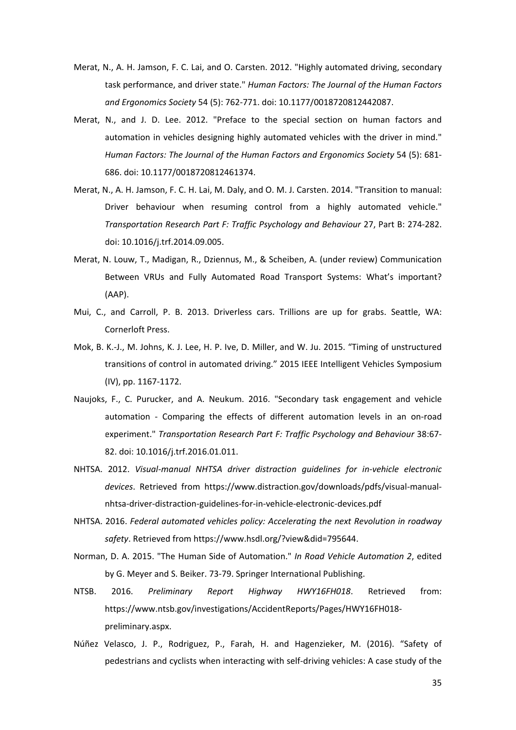- Merat, N., A. H. Jamson, F. C. Lai, and O. Carsten. 2012. "Highly [automated](https://www.researchgate.net/publication/233534058_Highly_Automated_Driving_Secondary_Task_Performance_and_Driver_State?el=1_x_8&enrichId=rgreq-54f8c9adb3c7f2795537bf218eb70de0-XXX&enrichSource=Y292ZXJQYWdlOzMxMzM2NzY3OTtBUzo0NTg3MDMwNzQ3OTU1MjFAMTQ4NjM3NDc0MzY4MQ==) driving, secondary task [performance,](https://www.researchgate.net/publication/233534058_Highly_Automated_Driving_Secondary_Task_Performance_and_Driver_State?el=1_x_8&enrichId=rgreq-54f8c9adb3c7f2795537bf218eb70de0-XXX&enrichSource=Y292ZXJQYWdlOzMxMzM2NzY3OTtBUzo0NTg3MDMwNzQ3OTU1MjFAMTQ4NjM3NDc0MzY4MQ==) and driver state." *Human Factors: The Journal of the Human Factors and Ergonomics Society* 54 (5): 762ど771. doi: [10.1177/0018720812442087.](https://www.researchgate.net/publication/233534058_Highly_Automated_Driving_Secondary_Task_Performance_and_Driver_State?el=1_x_8&enrichId=rgreq-54f8c9adb3c7f2795537bf218eb70de0-XXX&enrichSource=Y292ZXJQYWdlOzMxMzM2NzY3OTtBUzo0NTg3MDMwNzQ3OTU1MjFAMTQ4NjM3NDc0MzY4MQ==)
- Merat, N., and J. D. Lee. 2012. ["Preface](https://www.researchgate.net/publication/233534051_Preface_to_the_Special_Section_on_Human_Factors_and_Automation_in_Vehicles_Designing_Highly_Automated_Vehicles_With_the_Driver_in_Mind?el=1_x_8&enrichId=rgreq-54f8c9adb3c7f2795537bf218eb70de0-XXX&enrichSource=Y292ZXJQYWdlOzMxMzM2NzY3OTtBUzo0NTg3MDMwNzQ3OTU1MjFAMTQ4NjM3NDc0MzY4MQ==) to the special section on human factors and [automation](https://www.researchgate.net/publication/233534051_Preface_to_the_Special_Section_on_Human_Factors_and_Automation_in_Vehicles_Designing_Highly_Automated_Vehicles_With_the_Driver_in_Mind?el=1_x_8&enrichId=rgreq-54f8c9adb3c7f2795537bf218eb70de0-XXX&enrichSource=Y292ZXJQYWdlOzMxMzM2NzY3OTtBUzo0NTg3MDMwNzQ3OTU1MjFAMTQ4NjM3NDc0MzY4MQ==) in vehicles designing highly automated vehicles with the driver in mind." *Human Factors: The Journal of the Human Factors and [Ergonomics](https://www.researchgate.net/publication/233534051_Preface_to_the_Special_Section_on_Human_Factors_and_Automation_in_Vehicles_Designing_Highly_Automated_Vehicles_With_the_Driver_in_Mind?el=1_x_8&enrichId=rgreq-54f8c9adb3c7f2795537bf218eb70de0-XXX&enrichSource=Y292ZXJQYWdlOzMxMzM2NzY3OTtBUzo0NTg3MDMwNzQ3OTU1MjFAMTQ4NjM3NDc0MzY4MQ==) Society* 54 (5): 681ど 686. doi: [10.1177/0018720812461374.](https://www.researchgate.net/publication/233534051_Preface_to_the_Special_Section_on_Human_Factors_and_Automation_in_Vehicles_Designing_Highly_Automated_Vehicles_With_the_Driver_in_Mind?el=1_x_8&enrichId=rgreq-54f8c9adb3c7f2795537bf218eb70de0-XXX&enrichSource=Y292ZXJQYWdlOzMxMzM2NzY3OTtBUzo0NTg3MDMwNzQ3OTU1MjFAMTQ4NjM3NDc0MzY4MQ==)
- Merat, N., A. H. Jamson, F. C. H. Lai, M. Daly, and O. M. J. Carsten. 2014. ["Transition](https://www.researchgate.net/publication/264049557_Transition_to_manual_Driver_behaviour_when_resuming_control_from_a_highly_automated_vehicle?el=1_x_8&enrichId=rgreq-54f8c9adb3c7f2795537bf218eb70de0-XXX&enrichSource=Y292ZXJQYWdlOzMxMzM2NzY3OTtBUzo0NTg3MDMwNzQ3OTU1MjFAMTQ4NjM3NDc0MzY4MQ==) to manual: Driver behaviour when resuming control from a highly [automated](https://www.researchgate.net/publication/264049557_Transition_to_manual_Driver_behaviour_when_resuming_control_from_a_highly_automated_vehicle?el=1_x_8&enrichId=rgreq-54f8c9adb3c7f2795537bf218eb70de0-XXX&enrichSource=Y292ZXJQYWdlOzMxMzM2NzY3OTtBUzo0NTg3MDMwNzQ3OTU1MjFAMTQ4NjM3NDc0MzY4MQ==) vehicle." *[Transportation](https://www.researchgate.net/publication/264049557_Transition_to_manual_Driver_behaviour_when_resuming_control_from_a_highly_automated_vehicle?el=1_x_8&enrichId=rgreq-54f8c9adb3c7f2795537bf218eb70de0-XXX&enrichSource=Y292ZXJQYWdlOzMxMzM2NzY3OTtBUzo0NTg3MDMwNzQ3OTU1MjFAMTQ4NjM3NDc0MzY4MQ==) Research Part F: Traffic Psychology and Behaviour 27, Part B: 274-282.* doi: [10.1016/j.trf.2014.09.005.](https://www.researchgate.net/publication/264049557_Transition_to_manual_Driver_behaviour_when_resuming_control_from_a_highly_automated_vehicle?el=1_x_8&enrichId=rgreq-54f8c9adb3c7f2795537bf218eb70de0-XXX&enrichSource=Y292ZXJQYWdlOzMxMzM2NzY3OTtBUzo0NTg3MDMwNzQ3OTU1MjFAMTQ4NjM3NDc0MzY4MQ==)
- Merat, N. Louw, T., Madigan, R., Dziennus, M., & Scheiben, A. (under review) Communication Between VRUs and Fully Automated Road Transport Systems: What's important? (AAP).
- Mui, C., and Carroll, P. B. 2013. Driverless cars. Trillions are up for grabs. Seattle, WA: Cornerloft Press.
- Mok, B. K.-J., M. Johns, K. J. Lee, H. P. Ive, D. Miller, and W. Ju. 2015. "Timing of unstructured transitions of control in automated driving." 2015 IEEE Intelligent Vehicles Symposium  $(IV)$ , pp. 1167-1172.
- Naujoks, F., C. Purucker, and A. Neukum. 2016. "Secondary task [engagement](https://www.researchgate.net/publication/293158327_Secondary_task_engagement_and_vehicle_automation_-_Comparing_the_effects_of_different_automation_levels_in_an_on-road_experiment?el=1_x_8&enrichId=rgreq-54f8c9adb3c7f2795537bf218eb70de0-XXX&enrichSource=Y292ZXJQYWdlOzMxMzM2NzY3OTtBUzo0NTg3MDMwNzQ3OTU1MjFAMTQ4NjM3NDc0MzY4MQ==) and vehicle [automation](https://www.researchgate.net/publication/293158327_Secondary_task_engagement_and_vehicle_automation_-_Comparing_the_effects_of_different_automation_levels_in_an_on-road_experiment?el=1_x_8&enrichId=rgreq-54f8c9adb3c7f2795537bf218eb70de0-XXX&enrichSource=Y292ZXJQYWdlOzMxMzM2NzY3OTtBUzo0NTg3MDMwNzQ3OTU1MjFAMTQ4NjM3NDc0MzY4MQ==) - Comparing the effects of different automation levels in an on-road experiment." *[Transportation](https://www.researchgate.net/publication/293158327_Secondary_task_engagement_and_vehicle_automation_-_Comparing_the_effects_of_different_automation_levels_in_an_on-road_experiment?el=1_x_8&enrichId=rgreq-54f8c9adb3c7f2795537bf218eb70de0-XXX&enrichSource=Y292ZXJQYWdlOzMxMzM2NzY3OTtBUzo0NTg3MDMwNzQ3OTU1MjFAMTQ4NjM3NDc0MzY4MQ==) Research Part F: Traffic Psychology and Behaviour* 38:67-82. doi: [10.1016/j.trf.2016.01.011.](https://www.researchgate.net/publication/293158327_Secondary_task_engagement_and_vehicle_automation_-_Comparing_the_effects_of_different_automation_levels_in_an_on-road_experiment?el=1_x_8&enrichId=rgreq-54f8c9adb3c7f2795537bf218eb70de0-XXX&enrichSource=Y292ZXJQYWdlOzMxMzM2NzY3OTtBUzo0NTg3MDMwNzQ3OTU1MjFAMTQ4NjM3NDc0MzY4MQ==)
- NHTSA. 2012. *Visualどmanual NHTSA driver distraction guidelines for inどvehicle electronic* devices. Retrieved from https://www.distraction.gov/downloads/pdfs/visual-manualnhtsa-driver-distraction-guidelines-for-in-vehicle-electronic-devices.pdf
- NHTSA. 2016. *Federal automated vehicles policy: Accelerating the next Revolution in roadway safety*. Retrieved from https://www.hsdl.org/?view&did=795644.
- Norman, D. A. 2015. "The Human Side of [Automation."](https://www.researchgate.net/publication/310748241_The_human_side_of_automation?el=1_x_8&enrichId=rgreq-54f8c9adb3c7f2795537bf218eb70de0-XXX&enrichSource=Y292ZXJQYWdlOzMxMzM2NzY3OTtBUzo0NTg3MDMwNzQ3OTU1MjFAMTQ4NjM3NDc0MzY4MQ==) *In Road Vehicle Automation 2*, edited by G. Meyer and S. Beiker. 73-79. Springer [International](https://www.researchgate.net/publication/310748241_The_human_side_of_automation?el=1_x_8&enrichId=rgreq-54f8c9adb3c7f2795537bf218eb70de0-XXX&enrichSource=Y292ZXJQYWdlOzMxMzM2NzY3OTtBUzo0NTg3MDMwNzQ3OTU1MjFAMTQ4NjM3NDc0MzY4MQ==) Publishing.
- NTSB. 2016. *Preliminary Report Highway HWY16FH018*. Retrieved from: https://www.ntsb.gov/investigations/AccidentReports/Pages/HWY16FH018preliminary.aspx.
- Núñez Velasco, J. P., Rodriguez, P., Farah, H. and Hagenzieker, M. (2016). "Safety of pedestrians and cyclists when interacting with self-driving vehicles: A case study of the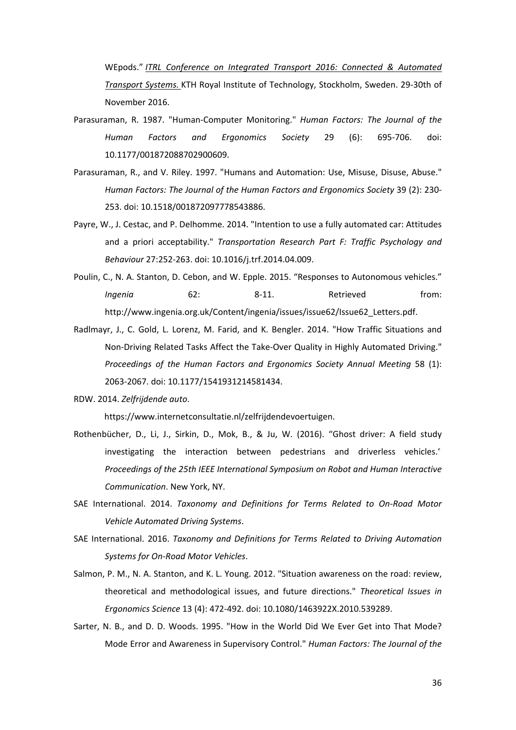WEpods.î *ITRL Conference on Integrated Transport 2016: Connected & Automated Transport Systems.* KTH Royal Institute of Technology, Stockholm, Sweden, 29-30th of November 2016.

- [Parasuraman,](https://www.researchgate.net/publication/258138619_Human-Computer_Monitoring?el=1_x_8&enrichId=rgreq-54f8c9adb3c7f2795537bf218eb70de0-XXX&enrichSource=Y292ZXJQYWdlOzMxMzM2NzY3OTtBUzo0NTg3MDMwNzQ3OTU1MjFAMTQ4NjM3NDc0MzY4MQ==) R. 1987. "Human-Computer Monitoring." *Human Factors: The Journal of the [Human](https://www.researchgate.net/publication/258138619_Human-Computer_Monitoring?el=1_x_8&enrichId=rgreq-54f8c9adb3c7f2795537bf218eb70de0-XXX&enrichSource=Y292ZXJQYWdlOzMxMzM2NzY3OTtBUzo0NTg3MDMwNzQ3OTU1MjFAMTQ4NjM3NDc0MzY4MQ==) [Factors](https://www.researchgate.net/publication/258138619_Human-Computer_Monitoring?el=1_x_8&enrichId=rgreq-54f8c9adb3c7f2795537bf218eb70de0-XXX&enrichSource=Y292ZXJQYWdlOzMxMzM2NzY3OTtBUzo0NTg3MDMwNzQ3OTU1MjFAMTQ4NjM3NDc0MzY4MQ==) [and](https://www.researchgate.net/publication/258138619_Human-Computer_Monitoring?el=1_x_8&enrichId=rgreq-54f8c9adb3c7f2795537bf218eb70de0-XXX&enrichSource=Y292ZXJQYWdlOzMxMzM2NzY3OTtBUzo0NTg3MDMwNzQ3OTU1MjFAMTQ4NjM3NDc0MzY4MQ==) [Ergonomics](https://www.researchgate.net/publication/258138619_Human-Computer_Monitoring?el=1_x_8&enrichId=rgreq-54f8c9adb3c7f2795537bf218eb70de0-XXX&enrichSource=Y292ZXJQYWdlOzMxMzM2NzY3OTtBUzo0NTg3MDMwNzQ3OTU1MjFAMTQ4NjM3NDc0MzY4MQ==) [Society](https://www.researchgate.net/publication/258138619_Human-Computer_Monitoring?el=1_x_8&enrichId=rgreq-54f8c9adb3c7f2795537bf218eb70de0-XXX&enrichSource=Y292ZXJQYWdlOzMxMzM2NzY3OTtBUzo0NTg3MDMwNzQ3OTU1MjFAMTQ4NjM3NDc0MzY4MQ==)* [29](https://www.researchgate.net/publication/258138619_Human-Computer_Monitoring?el=1_x_8&enrichId=rgreq-54f8c9adb3c7f2795537bf218eb70de0-XXX&enrichSource=Y292ZXJQYWdlOzMxMzM2NzY3OTtBUzo0NTg3MDMwNzQ3OTU1MjFAMTQ4NjM3NDc0MzY4MQ==) [\(6\):](https://www.researchgate.net/publication/258138619_Human-Computer_Monitoring?el=1_x_8&enrichId=rgreq-54f8c9adb3c7f2795537bf218eb70de0-XXX&enrichSource=Y292ZXJQYWdlOzMxMzM2NzY3OTtBUzo0NTg3MDMwNzQ3OTU1MjFAMTQ4NjM3NDc0MzY4MQ==) 695-[706.](https://www.researchgate.net/publication/258138619_Human-Computer_Monitoring?el=1_x_8&enrichId=rgreq-54f8c9adb3c7f2795537bf218eb70de0-XXX&enrichSource=Y292ZXJQYWdlOzMxMzM2NzY3OTtBUzo0NTg3MDMwNzQ3OTU1MjFAMTQ4NjM3NDc0MzY4MQ==) [doi:](https://www.researchgate.net/publication/258138619_Human-Computer_Monitoring?el=1_x_8&enrichId=rgreq-54f8c9adb3c7f2795537bf218eb70de0-XXX&enrichSource=Y292ZXJQYWdlOzMxMzM2NzY3OTtBUzo0NTg3MDMwNzQ3OTU1MjFAMTQ4NjM3NDc0MzY4MQ==) [10.1177/001872088702900609.](https://www.researchgate.net/publication/258138619_Human-Computer_Monitoring?el=1_x_8&enrichId=rgreq-54f8c9adb3c7f2795537bf218eb70de0-XXX&enrichSource=Y292ZXJQYWdlOzMxMzM2NzY3OTtBUzo0NTg3MDMwNzQ3OTU1MjFAMTQ4NjM3NDc0MzY4MQ==)
- [Parasuraman,](https://www.researchgate.net/publication/220457578_Humans_and_Automation_Use_Misuse_Disuse_Abuse?el=1_x_8&enrichId=rgreq-54f8c9adb3c7f2795537bf218eb70de0-XXX&enrichSource=Y292ZXJQYWdlOzMxMzM2NzY3OTtBUzo0NTg3MDMwNzQ3OTU1MjFAMTQ4NjM3NDc0MzY4MQ==) R., and V. Riley. 1997. "Humans and Automation: Use, Misuse, Disuse, Abuse." *Human Factors: The Journal of the Human Factors and [Ergonomics](https://www.researchgate.net/publication/220457578_Humans_and_Automation_Use_Misuse_Disuse_Abuse?el=1_x_8&enrichId=rgreq-54f8c9adb3c7f2795537bf218eb70de0-XXX&enrichSource=Y292ZXJQYWdlOzMxMzM2NzY3OTtBUzo0NTg3MDMwNzQ3OTU1MjFAMTQ4NjM3NDc0MzY4MQ==) Society* 39 (2): 230ど 253. doi: [10.1518/001872097778543886.](https://www.researchgate.net/publication/220457578_Humans_and_Automation_Use_Misuse_Disuse_Abuse?el=1_x_8&enrichId=rgreq-54f8c9adb3c7f2795537bf218eb70de0-XXX&enrichSource=Y292ZXJQYWdlOzMxMzM2NzY3OTtBUzo0NTg3MDMwNzQ3OTU1MjFAMTQ4NjM3NDc0MzY4MQ==)
- Payre, W., J. Cestac, and P. [Delhomme.](https://www.researchgate.net/publication/262193385_Intention_to_use_a_fully_automated_car_Attitudes_and_a_priori_acceptability?el=1_x_8&enrichId=rgreq-54f8c9adb3c7f2795537bf218eb70de0-XXX&enrichSource=Y292ZXJQYWdlOzMxMzM2NzY3OTtBUzo0NTg3MDMwNzQ3OTU1MjFAMTQ4NjM3NDc0MzY4MQ==) 2014. "Intention to use a fully automated car: Attitudes and a priori acceptability." *[Transportation](https://www.researchgate.net/publication/262193385_Intention_to_use_a_fully_automated_car_Attitudes_and_a_priori_acceptability?el=1_x_8&enrichId=rgreq-54f8c9adb3c7f2795537bf218eb70de0-XXX&enrichSource=Y292ZXJQYWdlOzMxMzM2NzY3OTtBUzo0NTg3MDMwNzQ3OTU1MjFAMTQ4NjM3NDc0MzY4MQ==) Research Part F: Traffic Psychology and Behaviour* 27:252-263. doi: [10.1016/j.trf.2014.04.009.](https://www.researchgate.net/publication/262193385_Intention_to_use_a_fully_automated_car_Attitudes_and_a_priori_acceptability?el=1_x_8&enrichId=rgreq-54f8c9adb3c7f2795537bf218eb70de0-XXX&enrichSource=Y292ZXJQYWdlOzMxMzM2NzY3OTtBUzo0NTg3MDMwNzQ3OTU1MjFAMTQ4NjM3NDc0MzY4MQ==)
- Poulin, C., N. A. Stanton, D. Cebon, and W. Epple. 2015. "Responses to Autonomous vehicles." *Ingenia* 62: 8-11. Retrieved from: http://www.ingenia.org.uk/Content/ingenia/issues/issue62/Issue62\_Letters.pdf.
- [Radlmayr,](https://www.researchgate.net/publication/271728342_How_Traffic_Situations_and_Non-Driving_Related_Tasks_Affect_the_Take-Over_Quality_in_Highly_Automated_Driving?el=1_x_8&enrichId=rgreq-54f8c9adb3c7f2795537bf218eb70de0-XXX&enrichSource=Y292ZXJQYWdlOzMxMzM2NzY3OTtBUzo0NTg3MDMwNzQ3OTU1MjFAMTQ4NjM3NDc0MzY4MQ==) J., C. Gold, L. Lorenz, M. Farid, and K. Bengler. 2014. "How Traffic Situations and Non-Driving Related Tasks Affect the Take-Over Quality in Highly [Automated](https://www.researchgate.net/publication/271728342_How_Traffic_Situations_and_Non-Driving_Related_Tasks_Affect_the_Take-Over_Quality_in_Highly_Automated_Driving?el=1_x_8&enrichId=rgreq-54f8c9adb3c7f2795537bf218eb70de0-XXX&enrichSource=Y292ZXJQYWdlOzMxMzM2NzY3OTtBUzo0NTg3MDMwNzQ3OTU1MjFAMTQ4NjM3NDc0MzY4MQ==) Driving." *[Proceedings](https://www.researchgate.net/publication/271728342_How_Traffic_Situations_and_Non-Driving_Related_Tasks_Affect_the_Take-Over_Quality_in_Highly_Automated_Driving?el=1_x_8&enrichId=rgreq-54f8c9adb3c7f2795537bf218eb70de0-XXX&enrichSource=Y292ZXJQYWdlOzMxMzM2NzY3OTtBUzo0NTg3MDMwNzQ3OTU1MjFAMTQ4NjM3NDc0MzY4MQ==) of the Human Factors and Ergonomics Society Annual Meeting* 58 (1): 2063-2067. doi: 10.1177/1541931214581434.
- RDW. 2014. *Zelfrijdende auto*.

https://www.internetconsultatie.nl/zelfrijdendevoertuigen.

- Rothenbücher, D., Li, J., Sirkin, D., Mok, B., & Ju, W. (2016). "Ghost driver: A field study [investigating](https://www.researchgate.net/publication/310500518_Ghost_driver_A_field_study_investigating_the_interaction_between_pedestrians_and_driverless_vehicles?el=1_x_8&enrichId=rgreq-54f8c9adb3c7f2795537bf218eb70de0-XXX&enrichSource=Y292ZXJQYWdlOzMxMzM2NzY3OTtBUzo0NTg3MDMwNzQ3OTU1MjFAMTQ4NjM3NDc0MzY4MQ==) the interaction between pedestrians and driverless vehicles." *Proceedings of the 25th IEEE [International](https://www.researchgate.net/publication/310500518_Ghost_driver_A_field_study_investigating_the_interaction_between_pedestrians_and_driverless_vehicles?el=1_x_8&enrichId=rgreq-54f8c9adb3c7f2795537bf218eb70de0-XXX&enrichSource=Y292ZXJQYWdlOzMxMzM2NzY3OTtBUzo0NTg3MDMwNzQ3OTU1MjFAMTQ4NjM3NDc0MzY4MQ==) Symposium on Robot and Human Interactive [Communication](https://www.researchgate.net/publication/310500518_Ghost_driver_A_field_study_investigating_the_interaction_between_pedestrians_and_driverless_vehicles?el=1_x_8&enrichId=rgreq-54f8c9adb3c7f2795537bf218eb70de0-XXX&enrichSource=Y292ZXJQYWdlOzMxMzM2NzY3OTtBUzo0NTg3MDMwNzQ3OTU1MjFAMTQ4NjM3NDc0MzY4MQ==)*. New York, NY.
- SAE International. 2014. *Taxonomy and Definitions for Terms Related to OnどRoad Motor Vehicle Automated Driving Systems*.
- SAE International. 2016. *Taxonomy and Definitions for Terms Related to Driving Automation*  $S$ ystems for On-Road Motor Vehicles.
- Salmon, P. M., N. A. Stanton, and K. L. Young. 2012. "Situation [awareness](https://www.researchgate.net/publication/233185867_Situation_awareness_on_the_road_Review_theoretical_and_methodological_issues_and_future_directions?el=1_x_8&enrichId=rgreq-54f8c9adb3c7f2795537bf218eb70de0-XXX&enrichSource=Y292ZXJQYWdlOzMxMzM2NzY3OTtBUzo0NTg3MDMwNzQ3OTU1MjFAMTQ4NjM3NDc0MzY4MQ==) on the road: review, theoretical and [methodological](https://www.researchgate.net/publication/233185867_Situation_awareness_on_the_road_Review_theoretical_and_methodological_issues_and_future_directions?el=1_x_8&enrichId=rgreq-54f8c9adb3c7f2795537bf218eb70de0-XXX&enrichSource=Y292ZXJQYWdlOzMxMzM2NzY3OTtBUzo0NTg3MDMwNzQ3OTU1MjFAMTQ4NjM3NDc0MzY4MQ==) issues, and future directions." *Theoretical Issues in Ergonomics Science* 13 (4): 472ど492. doi: [10.1080/1463922X.2010.539289.](https://www.researchgate.net/publication/233185867_Situation_awareness_on_the_road_Review_theoretical_and_methodological_issues_and_future_directions?el=1_x_8&enrichId=rgreq-54f8c9adb3c7f2795537bf218eb70de0-XXX&enrichSource=Y292ZXJQYWdlOzMxMzM2NzY3OTtBUzo0NTg3MDMwNzQ3OTU1MjFAMTQ4NjM3NDc0MzY4MQ==)
- Sarter, N. B., and D. D. Woods. 1995. "How in the World Did We Ever Get into That Mode? Mode Error and Awareness in Supervisory Control." *Human Factors: The Journal of the*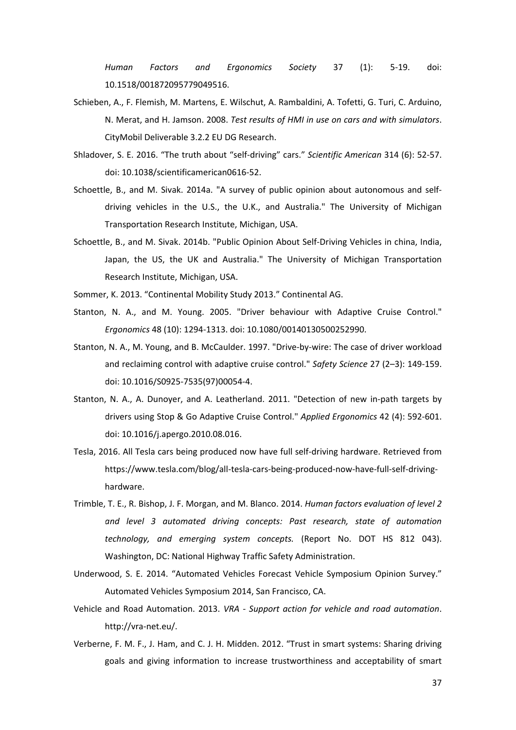*Human Factors and Ergonomics Society* 37 (1): 5-19. doi: 10.1518/001872095779049516.

- Schieben, A., F. Flemish, M. Martens, E. Wilschut, A. Rambaldini, A. Tofetti, G. Turi, C. Arduino, N. Merat, and H. Jamson. 2008. *Test results of HMI in use on cars and with simulators*. CityMobil Deliverable 3.2.2 EU DG Research.
- [Shladover,](https://www.researchgate.net/publication/303393146_The_Truth_about_Self-Driving_Cars?el=1_x_8&enrichId=rgreq-54f8c9adb3c7f2795537bf218eb70de0-XXX&enrichSource=Y292ZXJQYWdlOzMxMzM2NzY3OTtBUzo0NTg3MDMwNzQ3OTU1MjFAMTQ4NjM3NDc0MzY4MQ==) S. E. 2016. "The truth about "self-driving" cars." Scientific American 314 (6): 52-57. doi: [10.1038/scientificamerican0616](https://www.researchgate.net/publication/303393146_The_Truth_about_Self-Driving_Cars?el=1_x_8&enrichId=rgreq-54f8c9adb3c7f2795537bf218eb70de0-XXX&enrichSource=Y292ZXJQYWdlOzMxMzM2NzY3OTtBUzo0NTg3MDMwNzQ3OTU1MjFAMTQ4NjM3NDc0MzY4MQ==)-52.
- Schoettle, B., and M. Sivak. 2014a. "A survey of public opinion about autonomous and selfdriving vehicles in the U.S., the U.K., and Australia." The University of Michigan Transportation Research Institute, Michigan, USA.
- Schoettle, B., and M. Sivak. 2014b. "Public Opinion About Self-Driving Vehicles in china, India, Japan, the US, the UK and Australia." The University of Michigan Transportation Research Institute, Michigan, USA.
- Sommer, K. 2013. "Continental Mobility Study 2013." Continental AG.
- Stanton, N. A., and M. Young. 2005. "Driver [behaviour](https://www.researchgate.net/publication/7512847_Driver_behaviour_with_adaptive_cruise_control?el=1_x_8&enrichId=rgreq-54f8c9adb3c7f2795537bf218eb70de0-XXX&enrichSource=Y292ZXJQYWdlOzMxMzM2NzY3OTtBUzo0NTg3MDMwNzQ3OTU1MjFAMTQ4NjM3NDc0MzY4MQ==) with Adaptive Cruise Control." *Ergonomics* 48 (10): 1294ど1313. doi: [10.1080/00140130500252990.](https://www.researchgate.net/publication/7512847_Driver_behaviour_with_adaptive_cruise_control?el=1_x_8&enrichId=rgreq-54f8c9adb3c7f2795537bf218eb70de0-XXX&enrichSource=Y292ZXJQYWdlOzMxMzM2NzY3OTtBUzo0NTg3MDMwNzQ3OTU1MjFAMTQ4NjM3NDc0MzY4MQ==)
- Stanton, N. A., M. Young, and B. [McCaulder.](https://www.researchgate.net/publication/223379801_Drive-by-wire_The_case_of_driver_workload_and_reclaiming_control_with_adaptive_cruise_control?el=1_x_8&enrichId=rgreq-54f8c9adb3c7f2795537bf218eb70de0-XXX&enrichSource=Y292ZXJQYWdlOzMxMzM2NzY3OTtBUzo0NTg3MDMwNzQ3OTU1MjFAMTQ4NjM3NDc0MzY4MQ==) 1997. "Drive-by-wire: The case of driver workload and [reclaiming](https://www.researchgate.net/publication/223379801_Drive-by-wire_The_case_of_driver_workload_and_reclaiming_control_with_adaptive_cruise_control?el=1_x_8&enrichId=rgreq-54f8c9adb3c7f2795537bf218eb70de0-XXX&enrichSource=Y292ZXJQYWdlOzMxMzM2NzY3OTtBUzo0NTg3MDMwNzQ3OTU1MjFAMTQ4NjM3NDc0MzY4MQ==) control with adaptive cruise control." *Safety Science* 27 (2-3): 149-159. doi: 10.1016/S0925-[7535\(97\)00054](https://www.researchgate.net/publication/223379801_Drive-by-wire_The_case_of_driver_workload_and_reclaiming_control_with_adaptive_cruise_control?el=1_x_8&enrichId=rgreq-54f8c9adb3c7f2795537bf218eb70de0-XXX&enrichSource=Y292ZXJQYWdlOzMxMzM2NzY3OTtBUzo0NTg3MDMwNzQ3OTU1MjFAMTQ4NjM3NDc0MzY4MQ==)-4.
- Stanton, N. A., A. Dunoyer, and A. [Leatherland.](https://www.researchgate.net/publication/46426725_Detection_of_new_in-path_targets_by_drivers_using_Stop_Go_Adaptive_Cruise_Control?el=1_x_8&enrichId=rgreq-54f8c9adb3c7f2795537bf218eb70de0-XXX&enrichSource=Y292ZXJQYWdlOzMxMzM2NzY3OTtBUzo0NTg3MDMwNzQ3OTU1MjFAMTQ4NjM3NDc0MzY4MQ==) 2011. "Detection of new in-path targets by drivers using Stop & Go Adaptive Cruise Control." *Applied [Ergonomics](https://www.researchgate.net/publication/46426725_Detection_of_new_in-path_targets_by_drivers_using_Stop_Go_Adaptive_Cruise_Control?el=1_x_8&enrichId=rgreq-54f8c9adb3c7f2795537bf218eb70de0-XXX&enrichSource=Y292ZXJQYWdlOzMxMzM2NzY3OTtBUzo0NTg3MDMwNzQ3OTU1MjFAMTQ4NjM3NDc0MzY4MQ==)* 42 (4): 592-601. doi: [10.1016/j.apergo.2010.08.016.](https://www.researchgate.net/publication/46426725_Detection_of_new_in-path_targets_by_drivers_using_Stop_Go_Adaptive_Cruise_Control?el=1_x_8&enrichId=rgreq-54f8c9adb3c7f2795537bf218eb70de0-XXX&enrichSource=Y292ZXJQYWdlOzMxMzM2NzY3OTtBUzo0NTg3MDMwNzQ3OTU1MjFAMTQ4NjM3NDc0MzY4MQ==)
- Tesla, 2016. All Tesla cars being produced now have full self-driving hardware. Retrieved from https://www.tesla.com/blog/all-tesla-cars-being-produced-now-have-full-self-drivinghardware.
- Trimble, T. E., R. Bishop, J. F. Morgan, and M. Blanco. 2014. *Human factors [evaluation](https://www.researchgate.net/publication/277012098_Human_factors_evaluation_of_level_2_and_level_3_automated_driving_concepts_Past_research_state_of_automation_technology_and_emerging_system_concepts?el=1_x_8&enrichId=rgreq-54f8c9adb3c7f2795537bf218eb70de0-XXX&enrichSource=Y292ZXJQYWdlOzMxMzM2NzY3OTtBUzo0NTg3MDMwNzQ3OTU1MjFAMTQ4NjM3NDc0MzY4MQ==) of level 2 and level 3 automated driving concepts: Past research, state of [automation](https://www.researchgate.net/publication/277012098_Human_factors_evaluation_of_level_2_and_level_3_automated_driving_concepts_Past_research_state_of_automation_technology_and_emerging_system_concepts?el=1_x_8&enrichId=rgreq-54f8c9adb3c7f2795537bf218eb70de0-XXX&enrichSource=Y292ZXJQYWdlOzMxMzM2NzY3OTtBUzo0NTg3MDMwNzQ3OTU1MjFAMTQ4NjM3NDc0MzY4MQ==) [technology,](https://www.researchgate.net/publication/277012098_Human_factors_evaluation_of_level_2_and_level_3_automated_driving_concepts_Past_research_state_of_automation_technology_and_emerging_system_concepts?el=1_x_8&enrichId=rgreq-54f8c9adb3c7f2795537bf218eb70de0-XXX&enrichSource=Y292ZXJQYWdlOzMxMzM2NzY3OTtBUzo0NTg3MDMwNzQ3OTU1MjFAMTQ4NjM3NDc0MzY4MQ==) and emerging system concepts.* (Report No. DOT HS 812 043). Washington, DC: National Highway Traffic Safety Administration.
- Underwood, S. E. 2014. "Automated Vehicles Forecast Vehicle Symposium Opinion Survey." Automated Vehicles Symposium 2014, San Francisco, CA.
- Vehicle and Road Automation. 2013. *VRA ど Support action for vehicle and road automation*. http://vra-net.eu/.
- Verberne, F. M. F., J. Ham, and C. J. H. Midden. 2012. "Trust in smart systems: Sharing driving goals and giving information to increase trustworthiness and acceptability of smart